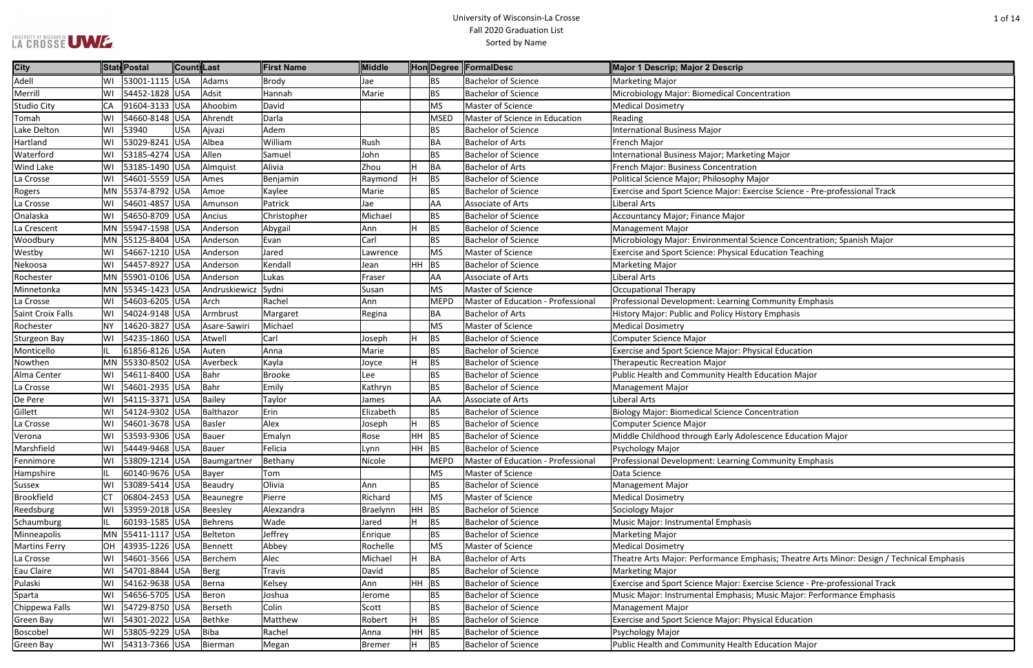### University of Wisconsin-La Crosse Fall 2020 Graduation List Sorted by Name

| entration                                              |
|--------------------------------------------------------|
|                                                        |
|                                                        |
|                                                        |
|                                                        |
|                                                        |
| าg Major                                               |
|                                                        |
|                                                        |
| jor                                                    |
| cise Science - Pre-professional Track                  |
|                                                        |
|                                                        |
|                                                        |
|                                                        |
| ience Concentration; Spanish Major                     |
| lucation Teaching                                      |
|                                                        |
|                                                        |
|                                                        |
|                                                        |
| ommunity Emphasis                                      |
| y Emphasis                                             |
|                                                        |
|                                                        |
|                                                        |
| sical Education                                        |
|                                                        |
| ducation Major                                         |
|                                                        |
|                                                        |
|                                                        |
| <b>centration</b>                                      |
|                                                        |
| scence Education Major                                 |
|                                                        |
|                                                        |
| ommunity Emphasis                                      |
|                                                        |
|                                                        |
|                                                        |
|                                                        |
|                                                        |
|                                                        |
|                                                        |
|                                                        |
|                                                        |
| hasis; Theatre Arts Minor: Design / Technical Emphasis |
|                                                        |
| cise Science - Pre-professional Track                  |
| Music Major: Performance Emphasis                      |
|                                                        |
|                                                        |
| sical Education                                        |
|                                                        |

| <b>City</b>          |           | <b>State Postal</b> | ∥Count∥Last |                | <b>First Name</b> | Middle    |         |             | Hon Degree FormalDesc              | Major 1 Descrip; Major 2 Descrip                                                          |
|----------------------|-----------|---------------------|-------------|----------------|-------------------|-----------|---------|-------------|------------------------------------|-------------------------------------------------------------------------------------------|
| Adell                | WI        | 53001-1115 USA      |             | Adams          | Brody             | Jae       |         | <b>BS</b>   | <b>Bachelor of Science</b>         | <b>Marketing Major</b>                                                                    |
| Merril               | WI        | 54452-1828 USA      |             | Adsit          | Hannah            | Marie     |         | <b>BS</b>   | <b>Bachelor of Science</b>         | Microbiology Major: Biomedical Concentration                                              |
| <b>Studio City</b>   | <b>CA</b> | 91604-3133 USA      |             | Ahoobim        | David             |           |         | <b>MS</b>   | Master of Science                  | <b>Medical Dosimetry</b>                                                                  |
| Tomah                | WI        | 54660-8148 USA      |             | Ahrendt        | Darla             |           |         | <b>MSED</b> | Master of Science in Education     | Reading                                                                                   |
| Lake Delton          | WI        | 53940               | <b>USA</b>  | Ajvazi         | Adem              |           |         | <b>BS</b>   | <b>Bachelor of Science</b>         | <b>International Business Major</b>                                                       |
| Hartland             |           | 53029-8241 USA      |             | Albea          | William           | Rush      |         | <b>BA</b>   | <b>Bachelor of Arts</b>            | French Major                                                                              |
| Waterford            | WI        | 53185-4274 USA      |             | Allen          | Samuel            | John      |         | <b>BS</b>   | <b>Bachelor of Science</b>         | International Business Major; Marketing Major                                             |
| <b>Wind Lake</b>     |           | 53185-1490 USA      |             | Almquist       | Alivia            | Zhou      | H       | BA          | <b>Bachelor of Arts</b>            | French Major: Business Concentration                                                      |
| La Crosse            | WI        | 54601-5559 USA      |             | Ames           | Benjamin          | Raymond   | lн.     | <b>BS</b>   | <b>Bachelor of Science</b>         | Political Science Major; Philosophy Major                                                 |
| Rogers               |           | MN 55374-8792 USA   |             | Amoe           | Kaylee            | Marie     |         | <b>BS</b>   | <b>Bachelor of Science</b>         | Exercise and Sport Science Major: Exercise Science - Pre-professional Track               |
| La Crosse            | WI        | 54601-4857 USA      |             | Amunson        | Patrick           | Jae       |         | AA          | Associate of Arts                  | Liberal Arts                                                                              |
| Onalaska             |           | 54650-8709 USA      |             | Ancius         | Christopher       | Michael   |         | <b>BS</b>   | <b>Bachelor of Science</b>         | Accountancy Major; Finance Major                                                          |
| La Crescent          |           | MN 55947-1598 USA   |             | Anderson       | Abygail           | Ann       | н       | <b>BS</b>   | <b>Bachelor of Science</b>         | Management Major                                                                          |
| Woodbury             |           | MN 55125-8404 USA   |             | Anderson       | Evan              | Carl      |         | <b>BS</b>   | <b>Bachelor of Science</b>         | Microbiology Major: Environmental Science Concentration; Spanish Major                    |
| Westby               |           | 54667-1210 USA      |             | Anderson       | Jared             | Lawrence  |         | <b>MS</b>   | <b>Master of Science</b>           | <b>Exercise and Sport Science: Physical Education Teaching</b>                            |
| Nekoosa              | WI        | 54457-8927 USA      |             | Anderson       | Kendall           | Jean      | HH BS   |             | <b>Bachelor of Science</b>         | <b>Marketing Major</b>                                                                    |
| Rochester            |           | MN 55901-0106 USA   |             | Anderson       | Lukas             | Fraser    |         | AA          | <b>Associate of Arts</b>           | Liberal Arts                                                                              |
| Minnetonka           |           | MN 55345-1423 USA   |             | Andruskiewicz  | Sydni             | Susan     |         | <b>MS</b>   | Master of Science                  | Occupational Therapy                                                                      |
| La Crosse            |           | 54603-6205 USA      |             | Arch           | Rachel            | Ann       |         | <b>MEPD</b> | Master of Education - Professional | Professional Development: Learning Community Emphasis                                     |
| Saint Croix Falls    | WI        | 54024-9148 USA      |             | Armbrust       | Margaret          | Regina    |         | <b>BA</b>   | <b>Bachelor of Arts</b>            | History Major: Public and Policy History Emphasis                                         |
| Rochester            | NY.       | 14620-3827 USA      |             | Asare-Sawiri   | Michael           |           |         | <b>MS</b>   | <b>Master of Science</b>           | <b>Medical Dosimetry</b>                                                                  |
| Sturgeon Bay         | lWI       | 54235-1860 USA      |             | Atwell         | Carl              | Joseph    | H.      | <b>BS</b>   | <b>Bachelor of Science</b>         | Computer Science Major                                                                    |
| Monticello           |           | 61856-8126 USA      |             | Auten          | Anna              | Marie     |         | <b>BS</b>   | <b>Bachelor of Science</b>         | <b>Exercise and Sport Science Major: Physical Education</b>                               |
| Nowthen              |           | MN 55330-8502 USA   |             | Averbeck       | Kayla             | Joyce     |         | <b>BS</b>   | <b>Bachelor of Science</b>         | <b>Therapeutic Recreation Major</b>                                                       |
| Alma Center          | WI        | 54611-8400 USA      |             | Bahr           | Brooke            | Lee       |         | <b>BS</b>   | <b>Bachelor of Science</b>         | Public Health and Community Health Education Major                                        |
| La Crosse            |           | 54601-2935 USA      |             | Bahr           | Emily             | Kathryn   |         | <b>BS</b>   | <b>Bachelor of Science</b>         | <b>Management Major</b>                                                                   |
| De Pere              |           | 54115-3371 USA      |             | Bailey         | Taylor            | James     |         | AA          | Associate of Arts                  | Liberal Arts                                                                              |
| Gillett              | WI        | 54124-9302 USA      |             | Balthazor      | Erin              | Elizabeth |         | <b>BS</b>   | <b>Bachelor of Science</b>         | <b>Biology Major: Biomedical Science Concentration</b>                                    |
| La Crosse            |           | 54601-3678 USA      |             | Basler         | Alex              | Joseph    | IH.     | <b>BS</b>   | <b>Bachelor of Science</b>         | Computer Science Major                                                                    |
| Verona               |           | WI 53593-9306 USA   |             | Bauer          | Emalyn            | Rose      | HH BS   |             | <b>Bachelor of Science</b>         | Middle Childhood through Early Adolescence Education Major                                |
| Marshfield           |           | 54449-9468 USA      |             | Bauer          | Felicia           | Lynn      | $HH$ BS |             | <b>Bachelor of Science</b>         | Psychology Major                                                                          |
| Fennimore            | WI        | 53809-1214 USA      |             | Baumgartner    | Bethany           | Nicole    |         | <b>MEPD</b> | Master of Education - Professional | Professional Development: Learning Community Emphasis                                     |
| Hampshire            |           | 60140-9676 USA      |             | Bayer          | Tom               |           |         | <b>MS</b>   | Master of Science                  | Data Science                                                                              |
| Sussex               |           | 53089-5414 USA      |             | Beaudry        | Olivia            | Ann       |         | <b>BS</b>   | <b>Bachelor of Science</b>         | <b>Management Major</b>                                                                   |
| Brookfield           | <b>CT</b> | 06804-2453 USA      |             | Beaunegre      | Pierre            | Richard   |         | <b>MS</b>   | Master of Science                  | <b>Medical Dosimetry</b>                                                                  |
| Reedsburg            | WI        | 53959-2018 USA      |             | Beesley        | Alexzandra        | Braelynn  | $HH$ BS |             | <b>Bachelor of Science</b>         | Sociology Major                                                                           |
| Schaumburg           | IL        | 60193-1585 USA      |             | <b>Behrens</b> | Wade              | Jared     | H       | BS          | <b>Bachelor of Science</b>         | Music Major: Instrumental Emphasis                                                        |
| Minneapolis          |           | MN 55411-1117 USA   |             | Belteton       | Jeffrey           | Enrique   |         | <b>BS</b>   | <b>Bachelor of Science</b>         | <b>Marketing Major</b>                                                                    |
| <b>Martins Ferry</b> | <b>OH</b> | 43935-1226 USA      |             | Bennett        | Abbey             | Rochelle  |         | <b>MS</b>   | Master of Science                  | <b>Medical Dosimetry</b>                                                                  |
| La Crosse            |           | 54601-3566 USA      |             | Berchem        | Alec              | Michael   | H       | BA          | <b>Bachelor of Arts</b>            | Theatre Arts Major: Performance Emphasis; Theatre Arts Minor: Design / Technical Emphasis |
| Eau Claire           | WI        | 54701-8844 USA      |             | Berg           | Travis            | David     |         | <b>BS</b>   | <b>Bachelor of Science</b>         | <b>Marketing Major</b>                                                                    |
| Pulaski              | WI        | 54162-9638 USA      |             | Berna          | Kelsey            | Ann       | HH BS   |             | <b>Bachelor of Science</b>         | Exercise and Sport Science Major: Exercise Science - Pre-professional Track               |
| Sparta               |           | 54656-5705 USA      |             | Beron          | Joshua            | Jerome    |         | <b>BS</b>   | <b>Bachelor of Science</b>         | Music Major: Instrumental Emphasis; Music Major: Performance Emphasis                     |
| Chippewa Falls       | WI        | 54729-8750 USA      |             | Berseth        | Colin             | Scott     |         | <b>BS</b>   | <b>Bachelor of Science</b>         | <b>Management Major</b>                                                                   |
| Green Bay            | WI        | 54301-2022 USA      |             | Bethke         | Matthew           | Robert    | H       | <b>BS</b>   | <b>Bachelor of Science</b>         | Exercise and Sport Science Major: Physical Education                                      |
| Boscobel             | WI        | 53805-9229 USA      |             | Biba           | Rachel            | Anna      | HH BS   |             | <b>Bachelor of Science</b>         | Psychology Major                                                                          |
| Green Bay            | WI        | 54313-7366 USA      |             | Bierman        | Megan             | Bremer    | H       | <b>BS</b>   | <b>Bachelor of Science</b>         | Public Health and Community Health Education Major                                        |

LA CROSSE UME.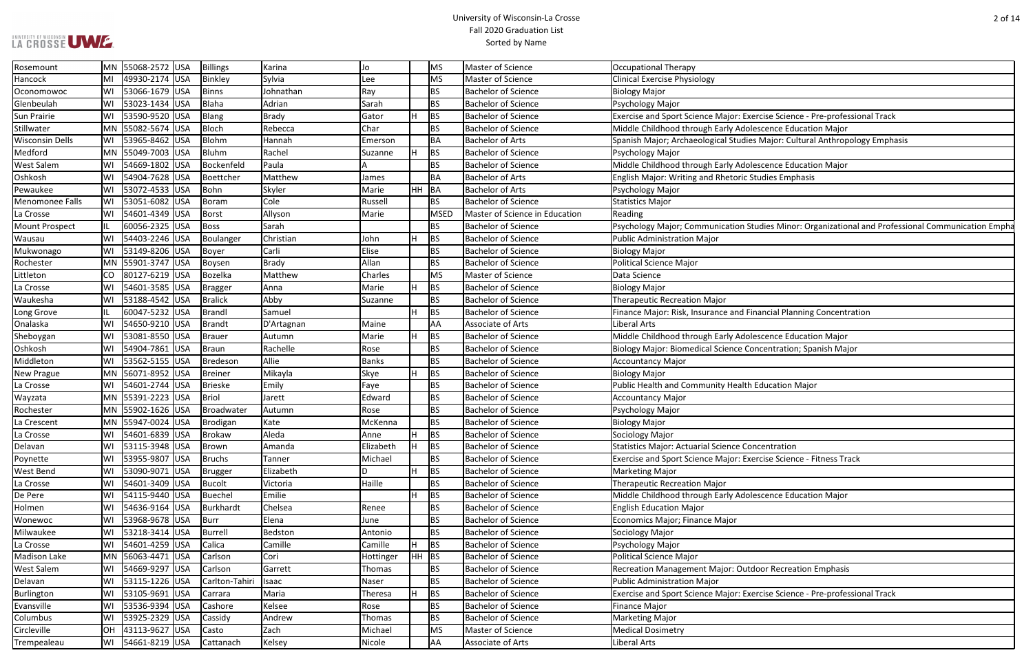### University of Wisconsin-La Crosse Fall 2020 Graduation List Sorted by Name

rcise Science - Pre-professional Track<br>scence Education Major Major: Cultural Anthropology Emphasis

Idies Minor: Organizational and Professional Communication Empha

ancial Planning Concentration

scence Education Major ncentration; Spanish Major

Portise Science - Fitness Track

scence Education Major

oor Recreation Emphasis

rcise Science - Pre-professional Track

| Rosemount              |    | MN 55068-2572 USA | Billings       | Karina       | Jo           |         | MS          | Master of Science              | <b>Occupational Therapy</b>                                     |
|------------------------|----|-------------------|----------------|--------------|--------------|---------|-------------|--------------------------------|-----------------------------------------------------------------|
| Hancock                | MI | 49930-2174 USA    | Binkley        | Sylvia       | Lee          |         | <b>MS</b>   | Master of Science              | <b>Clinical Exercise Physiology</b>                             |
| Oconomowoc             | WI | 53066-1679 USA    | Binns          | Johnathan    | Ray          |         | <b>BS</b>   | <b>Bachelor of Science</b>     | <b>Biology Major</b>                                            |
| Glenbeulah             | WI | 53023-1434 USA    | Blaha          | Adrian       | Sarah        |         | <b>BS</b>   | <b>Bachelor of Science</b>     | <b>Psychology Major</b>                                         |
| <b>Sun Prairie</b>     | WI | 53590-9520 USA    | Blang          | <b>Brady</b> | Gator        |         | <b>BS</b>   | <b>Bachelor of Science</b>     | Exercise and Sport Science Major: Exercise Science - Pre-profe  |
| Stillwater             |    | MN 55082-5674 USA | Bloch          | Rebecca      | Char         |         | <b>BS</b>   | <b>Bachelor of Science</b>     | Middle Childhood through Early Adolescence Education Major      |
| <b>Wisconsin Dells</b> | WI | 53965-8462 USA    | Blohm          | Hannah       | Emerson      |         | BA          | <b>Bachelor of Arts</b>        | Spanish Major; Archaeological Studies Major: Cultural Anthrop   |
| Medford                |    | MN 55049-7003 USA | <b>Bluhm</b>   | Rachel       | Suzanne      |         | <b>BS</b>   | <b>Bachelor of Science</b>     | Psychology Major                                                |
| <b>West Salem</b>      | WI | 54669-1802 USA    | Bockenfeld     | Paula        |              |         | <b>BS</b>   | <b>Bachelor of Science</b>     | Middle Childhood through Early Adolescence Education Major      |
| Oshkosh                | WI | 54904-7628 USA    | Boettcher      | Matthew      | James        |         | BA          | <b>Bachelor of Arts</b>        | English Major: Writing and Rhetoric Studies Emphasis            |
| Pewaukee               | WI | 53072-4533 USA    | Bohn           | Skyler       | Marie        | HH BA   |             | <b>Bachelor of Arts</b>        | Psychology Major                                                |
| Menomonee Falls        | WI | 53051-6082 USA    | Boram          | Cole         | Russell      |         | <b>BS</b>   | <b>Bachelor of Science</b>     | <b>Statistics Major</b>                                         |
| La Crosse              | WI | 54601-4349 USA    | <b>Borst</b>   | Allyson      | Marie        |         | <b>MSED</b> | Master of Science in Education | Reading                                                         |
| <b>Mount Prospect</b>  | IL | 60056-2325 USA    | Boss           | Sarah        |              |         | BS          | <b>Bachelor of Science</b>     | Psychology Major; Communication Studies Minor: Organizatic      |
| Wausau                 | WI | 54403-2246 USA    | Boulanger      | Christian    | John         |         | BS          | <b>Bachelor of Science</b>     | <b>Public Administration Major</b>                              |
| Mukwonago              | WI | 53149-8206 USA    | Boyer          | Carli        | Elise        |         | <b>BS</b>   | <b>Bachelor of Science</b>     | <b>Biology Major</b>                                            |
| Rochester              |    | MN 55901-3747 USA | Boysen         | <b>Brady</b> | Allan        |         | <b>BS</b>   | <b>Bachelor of Science</b>     | <b>Political Science Major</b>                                  |
| Littleton              | CO | 80127-6219 USA    | Bozelka        | Matthew      | Charles      |         | MS          | Master of Science              | Data Science                                                    |
| La Crosse              | WI | 54601-3585 USA    | Bragger        | Anna         | Marie        | н       | BS          | <b>Bachelor of Science</b>     | <b>Biology Major</b>                                            |
| Waukesha               | WI | 53188-4542 USA    | <b>Bralick</b> | Abby         | Suzanne      |         | <b>BS</b>   | <b>Bachelor of Science</b>     | <b>Therapeutic Recreation Major</b>                             |
| Long Grove             | L  | 60047-5232 USA    | Brandl         | Samuel       |              |         | <b>BS</b>   | <b>Bachelor of Science</b>     | Finance Major: Risk, Insurance and Financial Planning Concent   |
| Onalaska               | WI | 54650-9210 USA    | Brandt         | D'Artagnan   | Maine        |         | AA          | Associate of Arts              | Liberal Arts                                                    |
| Sheboygan              | WI | 53081-8550 USA    | Brauer         | Autumn       | Marie        | H.      | <b>BS</b>   | <b>Bachelor of Science</b>     | Middle Childhood through Early Adolescence Education Major      |
| Oshkosh                | WI | 54904-7861 USA    | Braun          | Rachelle     | Rose         |         | <b>BS</b>   | <b>Bachelor of Science</b>     | Biology Major: Biomedical Science Concentration; Spanish Ma     |
| Middleton              | WI | 53562-5155 USA    | Bredeson       | Allie        | <b>Banks</b> |         | <b>BS</b>   | <b>Bachelor of Science</b>     | <b>Accountancy Major</b>                                        |
| New Prague             |    | MN 56071-8952 USA | Breiner        | Mikayla      | Skye         |         | BS          | <b>Bachelor of Science</b>     | <b>Biology Major</b>                                            |
| La Crosse              | WI | 54601-2744 USA    | <b>Brieske</b> | Emily        | Faye         |         | <b>BS</b>   | <b>Bachelor of Science</b>     | Public Health and Community Health Education Major              |
| Wayzata                |    | MN 55391-2223 USA | <b>Briol</b>   | Jarett       | Edward       |         | <b>BS</b>   | Bachelor of Science            | <b>Accountancy Major</b>                                        |
| Rochester              |    | MN 55902-1626 USA | Broadwater     | Autumn       | Rose         |         | <b>BS</b>   | <b>Bachelor of Science</b>     | Psychology Major                                                |
| La Crescent            |    | MN 55947-0024 USA | Brodigan       | Kate         | McKenna      |         | <b>BS</b>   | <b>Bachelor of Science</b>     | <b>Biology Major</b>                                            |
| La Crosse              | WI | 54601-6839 USA    | Brokaw         | Aleda        | Anne         |         | <b>BS</b>   | <b>Bachelor of Science</b>     | Sociology Major                                                 |
| Delavan                | WI | 53115-3948 USA    | Brown          | Amanda       | Elizabeth    | H.      | <b>BS</b>   | <b>Bachelor of Science</b>     | <b>Statistics Major: Actuarial Science Concentration</b>        |
| Poynette               | WI | 53955-9807 USA    | Bruchs         | Tanner       | Michael      |         | <b>BS</b>   | <b>Bachelor of Science</b>     | Exercise and Sport Science Major: Exercise Science - Fitness Tr |
| <b>West Bend</b>       | WI | 53090-9071 USA    | <b>Brugger</b> | Elizabeth    | D            | н       | <b>BS</b>   | <b>Bachelor of Science</b>     | <b>Marketing Major</b>                                          |
| La Crosse              | W١ | 54601-3409 USA    | Bucolt         | Victoria     | Haille       |         | <b>BS</b>   | Bachelor of Science            | <b>Therapeutic Recreation Major</b>                             |
| De Pere                | WI | 54115-9440 USA    | Buechel        | Emilie       |              |         | <b>BS</b>   | <b>Bachelor of Science</b>     | Middle Childhood through Early Adolescence Education Major      |
| Holmen                 | WI | 54636-9164 USA    | Burkhardt      | Chelsea      | Renee        |         | <b>BS</b>   | <b>Bachelor of Science</b>     | <b>English Education Major</b>                                  |
| Wonewoc                | WI | 53968-9678 USA    | Burr           | Elena        | June         |         | <b>BS</b>   | <b>Bachelor of Science</b>     | Economics Major; Finance Major                                  |
| Milwaukee              | WI | 53218-3414 USA    | <b>Burrell</b> | Bedston      | Antonio      |         | <b>BS</b>   | <b>Bachelor of Science</b>     | Sociology Major                                                 |
| La Crosse              | WI | 54601-4259 USA    | Calica         | Camille      | Camille      | н       | <b>BS</b>   | <b>Bachelor of Science</b>     | Psychology Major                                                |
| <b>Madison Lake</b>    |    | MN 56063-4471 USA | Carlson        | Cori         | Hottinger    | $HH$ BS |             | <b>Bachelor of Science</b>     | <b>Political Science Major</b>                                  |
| <b>West Salem</b>      | WI | 54669-9297 USA    | Carlson        | Garrett      | Thomas       |         | <b>BS</b>   | <b>Bachelor of Science</b>     | Recreation Management Major: Outdoor Recreation Emphasi         |
| Delavan                | WI | 53115-1226 USA    | Carlton-Tahiri | Isaac        | Naser        |         | <b>BS</b>   | <b>Bachelor of Science</b>     | <b>Public Administration Major</b>                              |
| Burlington             | WI | 53105-9691 USA    | Carrara        | Maria        | Theresa      | H.      | BS          | <b>Bachelor of Science</b>     | Exercise and Sport Science Major: Exercise Science - Pre-profe  |
| Evansville             | WI | 53536-9394 USA    | Cashore        | Kelsee       | Rose         |         | <b>BS</b>   | <b>Bachelor of Science</b>     | Finance Major                                                   |
| Columbus               | WI | 53925-2329 USA    | Cassidy        | Andrew       | Thomas       |         | <b>BS</b>   | <b>Bachelor of Science</b>     | Marketing Major                                                 |
| Circleville            | OH | 43113-9627 USA    | Casto          | Zach         | Michael      |         | <b>MS</b>   | Master of Science              | <b>Medical Dosimetry</b>                                        |
| Trempealeau            | WI | 54661-8219 USA    | Cattanach      | Kelsey       | Nicole       |         | AA          | Associate of Arts              | Liberal Arts                                                    |
|                        |    |                   |                |              |              |         |             |                                |                                                                 |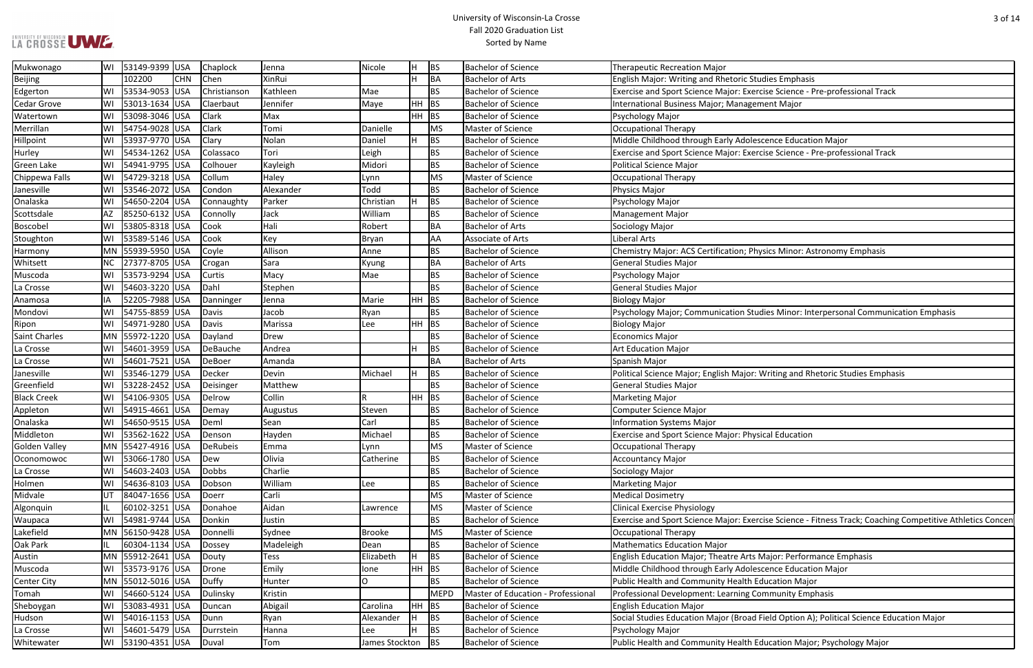### University of Wisconsin-La Crosse Fall 2020 Graduation List Sorted by Name

rcise Science - Pre-professional Track

**Excence Education Major**<br>
BS Bachelor Middle Education Major rcise Science - Pre-professional Track

**I**nysics Minor: Astronomy Emphasis

udies Minor: Interpersonal Communication Emphasis

Writing and Rhetoric Studies Emphasis: Writing and Rhetoric Studies Emphasis

Procise Science - Fitness Track; Coaching Competitive Athletics Concent

Major: Performance Emphasis

scence Education Major

Held Option A); Political Science Education Major

Education Major; Psychology Major

| Mukwonago            | WI | 53149-9399 USA        |            | Chaplock     | Jenna       | Nicole         | H       | BS          | <b>Bachelor of Science</b>         | <b>Therapeutic Recreation Major</b>                           |
|----------------------|----|-----------------------|------------|--------------|-------------|----------------|---------|-------------|------------------------------------|---------------------------------------------------------------|
| <b>Beijing</b>       |    | 102200                | <b>CHN</b> | Chen         | XinRui      |                |         | BA          | <b>Bachelor of Arts</b>            | English Major: Writing and Rhetoric Studies Emphasis          |
| Edgerton             | WI | 53534-9053 USA        |            | Christianson | Kathleen    | Mae            |         | <b>BS</b>   | <b>Bachelor of Science</b>         | Exercise and Sport Science Major: Exercise Science - Pre-p    |
| <b>Cedar Grove</b>   | WI | 53013-1634 USA        |            | Claerbaut    | Jennifer    | Maye           | $HH$ BS |             | <b>Bachelor of Science</b>         | International Business Major; Management Major                |
| Watertown            | WI | 53098-3046 USA        |            | Clark        | Max         |                | $HH$ BS |             | <b>Bachelor of Science</b>         | Psychology Major                                              |
| Merrillan            | WI | 54754-9028 USA        |            | Clark        | Tomi        | Danielle       |         | MS          | Master of Science                  | <b>Occupational Therapy</b>                                   |
| Hillpoint            | WI | 53937-9770 USA        |            | Clary        | Nolan       | Daniel         | H       | <b>BS</b>   | <b>Bachelor of Science</b>         | Middle Childhood through Early Adolescence Education M        |
| Hurley               | WI | 54534-1262 USA        |            | Colassaco    | Tori        | Leigh          |         | <b>BS</b>   | <b>Bachelor of Science</b>         | Exercise and Sport Science Major: Exercise Science - Pre-p    |
| Green Lake           | WI | 54941-9795 USA        |            | Colhouer     | Kayleigh    | Midori         |         | <b>BS</b>   | <b>Bachelor of Science</b>         | <b>Political Science Major</b>                                |
| Chippewa Falls       | WI | 54729-3218 USA        |            | Collum       | Haley       | Lynn           |         | <b>MS</b>   | <b>Master of Science</b>           | <b>Occupational Therapy</b>                                   |
| Janesville           |    | WI 53546-2072 USA     |            | Condon       | Alexander   | Todd           |         | <b>BS</b>   | <b>Bachelor of Science</b>         | Physics Major                                                 |
| Onalaska             | WI | 54650-2204 USA        |            | Connaughty   | Parker      | Christian      |         | <b>BS</b>   | <b>Bachelor of Science</b>         | Psychology Major                                              |
| Scottsdale           | AZ | 85250-6132 USA        |            | Connolly     | Jack        | William        |         | <b>BS</b>   | <b>Bachelor of Science</b>         | <b>Management Major</b>                                       |
| Boscobel             | WI | 53805-8318 USA        |            | Cook         | Hali        | Robert         |         | <b>BA</b>   | <b>Bachelor of Arts</b>            | Sociology Major                                               |
| Stoughton            | WI | 53589-5146 USA        |            | Cook         | Key         | Bryan          |         | <b>AA</b>   | Associate of Arts                  | Liberal Arts                                                  |
| Harmony              |    | MN 55939-5950 USA     |            | Coyle        | Allison     | Anne           |         | <b>BS</b>   | <b>Bachelor of Science</b>         | Chemistry Major: ACS Certification; Physics Minor: Astron     |
| Whitsett             | NС | 27377-8705 USA        |            | Crogan       | Sara        | Kyung          |         | <b>BA</b>   | <b>Bachelor of Arts</b>            | <b>General Studies Major</b>                                  |
| Muscoda              | WI | 53573-9294 USA        |            | Curtis       | Macy        | Mae            |         | <b>BS</b>   | <b>Bachelor of Science</b>         | Psychology Major                                              |
| La Crosse            | WI | 54603-3220 USA        |            | Dahl         | Stephen     |                |         | <b>BS</b>   | <b>Bachelor of Science</b>         | <b>General Studies Major</b>                                  |
| Anamosa              | ΙA | 52205-7988 USA        |            | Danninger    | Jenna       | Marie          | $HH$ BS |             | <b>Bachelor of Science</b>         | <b>Biology Major</b>                                          |
| Mondovi              | WI | 54755-8859 USA        |            | Davis        | Jacob       | Ryan           |         | <b>BS</b>   | <b>Bachelor of Science</b>         | <b>Psychology Major; Communication Studies Minor: Interpe</b> |
| Ripon                | WI | 54971-9280 USA        |            | Davis        | Marissa     | Lee            | HH BS   |             | <b>Bachelor of Science</b>         | <b>Biology Major</b>                                          |
| <b>Saint Charles</b> |    | MN 55972-1220 USA     |            | Dayland      | <b>Drew</b> |                |         | <b>BS</b>   | <b>Bachelor of Science</b>         | <b>Economics Major</b>                                        |
| La Crosse            | WI | 54601-3959 USA        |            | DeBauche     | Andrea      |                | H       | <b>BS</b>   | <b>Bachelor of Science</b>         | <b>Art Education Major</b>                                    |
| La Crosse            | WI | 54601-7521 USA        |            | DeBoer       | Amanda      |                |         | BA          | <b>Bachelor of Arts</b>            | Spanish Major                                                 |
| Janesville           | WI | 53546-1279 USA        |            | Decker       | Devin       | Michael        | H       | <b>BS</b>   | <b>Bachelor of Science</b>         | Political Science Major; English Major: Writing and Rhetori   |
| Greenfield           | WI | 53228-2452 USA        |            | Deisinger    | Matthew     |                |         | <b>BS</b>   | <b>Bachelor of Science</b>         | <b>General Studies Major</b>                                  |
| <b>Black Creek</b>   | WI | 54106-9305 USA        |            | Delrow       | Collin      | $\mathsf{R}$   | $HH$ BS |             | <b>Bachelor of Science</b>         | <b>Marketing Major</b>                                        |
| Appleton             | WI | 54915-4661 USA        |            | Demay        | Augustus    | Steven         |         | <b>BS</b>   | <b>Bachelor of Science</b>         | <b>Computer Science Major</b>                                 |
| Onalaska             | WI | 54650-9515 USA        |            | Deml         | Sean        | Carl           |         | <b>BS</b>   | <b>Bachelor of Science</b>         | <b>Information Systems Major</b>                              |
| Middleton            | WI | 53562-1622 USA        |            | Denson       | Hayden      | Michael        |         | <b>BS</b>   | <b>Bachelor of Science</b>         | Exercise and Sport Science Major: Physical Education          |
| Golden Valley        |    | MN 55427-4916 USA     |            | DeRubeis     | Emma        | Lynn           |         | <b>MS</b>   | Master of Science                  | Occupational Therapy                                          |
| Oconomowoc           |    | WI   53066-1780   USA |            | Dew          | Olivia      | Catherine      |         | <b>BS</b>   | <b>Bachelor of Science</b>         | <b>Accountancy Major</b>                                      |
| La Crosse            | WI | 54603-2403 USA        |            | Dobbs        | Charlie     |                |         | <b>BS</b>   | <b>Bachelor of Science</b>         | Sociology Major                                               |
| Holmen               | WI | 54636-8103 USA        |            | Dobson       | William     | Lee            |         | <b>BS</b>   | <b>Bachelor of Science</b>         | <b>Marketing Major</b>                                        |
| Midvale              | UT | 84047-1656 USA        |            | Doerr        | Carli       |                |         | <b>MS</b>   | Master of Science                  | <b>Medical Dosimetry</b>                                      |
| Algonquin            |    | 60102-3251 USA        |            | Donahoe      | Aidan       | Lawrence       |         | <b>MS</b>   | Master of Science                  | <b>Clinical Exercise Physiology</b>                           |
| Waupaca              | WI | 54981-9744 USA        |            | Donkin       | Justin      |                |         | <b>BS</b>   | <b>Bachelor of Science</b>         | Exercise and Sport Science Major: Exercise Science - Fitnes   |
| Lakefield            |    | MN 56150-9428 USA     |            | Donnelli     | Sydnee      | <b>Brooke</b>  |         | <b>MS</b>   | Master of Science                  | Occupational Therapy                                          |
| Oak Park             |    | 60304-1134 USA        |            | Dossey       | Madeleigh   | Dean           |         | <b>BS</b>   | <b>Bachelor of Science</b>         | <b>Mathematics Education Major</b>                            |
| Austin               |    | MN 55912-2641 USA     |            | Douty        | <b>Tess</b> | Elizabeth      |         | <b>BS</b>   | <b>Bachelor of Science</b>         | English Education Major; Theatre Arts Major: Performance      |
| Muscoda              |    | WI   53573-9176   USA |            | Drone        | Emily       | lone           | $HH$ BS |             | <b>Bachelor of Science</b>         | Middle Childhood through Early Adolescence Education M        |
| <b>Center City</b>   |    | MN 55012-5016 USA     |            | Duffy        | Hunter      | O              |         | <b>BS</b>   | <b>Bachelor of Science</b>         | Public Health and Community Health Education Major            |
| Tomah                | WI | 54660-5124 USA        |            | Dulinsky     | Kristin     |                |         | <b>MEPD</b> | Master of Education - Professional | Professional Development: Learning Community Emphasis         |
| Sheboygan            | WI | 53083-4931 USA        |            | Duncan       | Abigail     | Carolina       | $HH$ BS |             | <b>Bachelor of Science</b>         | <b>English Education Major</b>                                |
| Hudson               |    | WI   54016-1153   USA |            | Dunn         | Ryan        | Alexander      |         | BS          | <b>Bachelor of Science</b>         | Social Studies Education Major (Broad Field Option A); Pol    |
| La Crosse            | WI | 54601-5479 USA        |            | Durrstein    | Hanna       | Lee            |         | BS          | <b>Bachelor of Science</b>         | Psychology Major                                              |
| Whitewater           |    | WI   53190-4351   USA |            | Duval        | Tom         | James Stockton |         | BS          | <b>Bachelor of Science</b>         | Public Health and Community Health Education Major; Psy       |
|                      |    |                       |            |              |             |                |         |             |                                    |                                                               |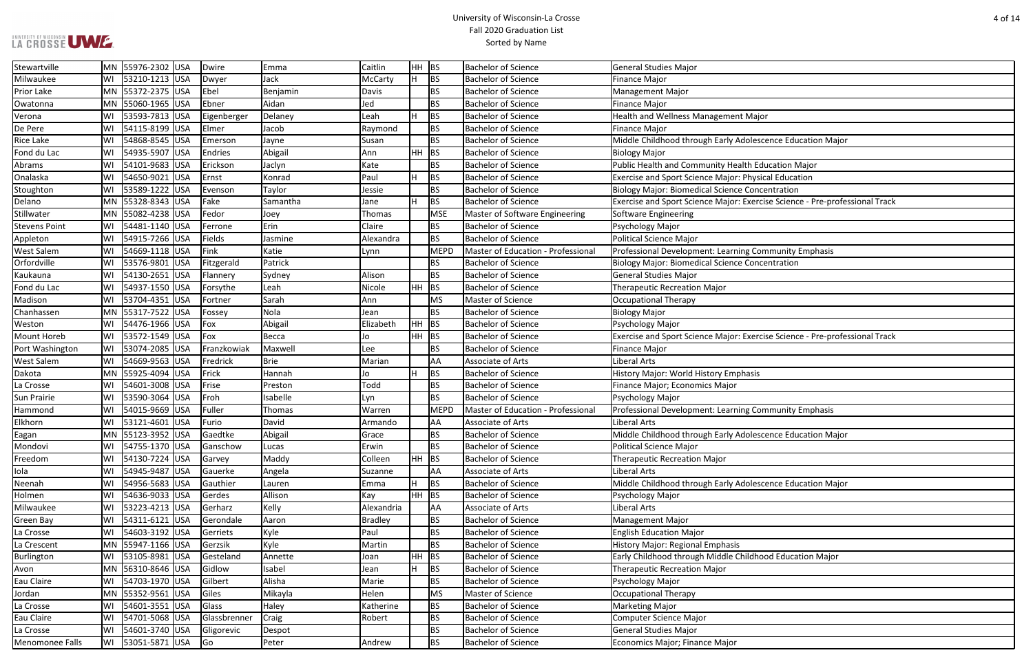### University of Wisconsin-La Crosse Fall 2020 Graduation List Sorted by Name

Rice Calacation Major

The Samantha Colence - Pre-professional Track

Tresponsies Science - Pre-professional Track

scence Education Major

scence Education Major

| Stewartville         | MN        | 55976-2302 USA    | Dwire        | Emma        | Caitlin    | HH.   | <b>BS</b>   | <b>Bachelor of Science</b>         | <b>General Studies Major</b>                                 |
|----------------------|-----------|-------------------|--------------|-------------|------------|-------|-------------|------------------------------------|--------------------------------------------------------------|
| Milwaukee            | WI        | 53210-1213 USA    | Dwyer        | Jack        | McCarty    | l H   | <b>BS</b>   | <b>Bachelor of Science</b>         | <b>Finance Major</b>                                         |
| <b>Prior Lake</b>    |           | MN 55372-2375 USA | Ebel         | Benjamin    | Davis      |       | <b>BS</b>   | <b>Bachelor of Science</b>         | <b>Management Major</b>                                      |
| Owatonna             |           | MN 55060-1965 USA | Ebner        | Aidan       | Jed        |       | <b>BS</b>   | <b>Bachelor of Science</b>         | <b>Finance Major</b>                                         |
| Verona               | WI        | 53593-7813 USA    | Eigenberger  | Delaney     | Leah       | lн    | <b>BS</b>   | <b>Bachelor of Science</b>         | Health and Wellness Management Major                         |
| De Pere              | WI        | 54115-8199 USA    | Elmer        | Jacob       | Raymond    |       | <b>BS</b>   | <b>Bachelor of Science</b>         | <b>Finance Major</b>                                         |
| <b>Rice Lake</b>     | WI        | 54868-8545 USA    | Emerson      | Jayne       | Susan      |       | <b>BS</b>   | <b>Bachelor of Science</b>         | Middle Childhood through Early Adolescence Education Ma      |
| Fond du Lac          | WI        | 54935-5907 USA    | Endries      | Abigail     | Ann        | HH    | BS          | <b>Bachelor of Science</b>         | <b>Biology Major</b>                                         |
| Abrams               | WI        | 54101-9683 USA    | Erickson     | Jaclyn      | Kate       |       | <b>BS</b>   | <b>Bachelor of Science</b>         | Public Health and Community Health Education Major           |
| Onalaska             | WI        | 54650-9021 USA    | Ernst        | Konrad      | Paul       | lн    | <b>BS</b>   | <b>Bachelor of Science</b>         | <b>Exercise and Sport Science Major: Physical Education</b>  |
| Stoughton            | WI        | 53589-1222 USA    | Evenson      | Taylor      | Jessie     |       | <b>BS</b>   | <b>Bachelor of Science</b>         | <b>Biology Major: Biomedical Science Concentration</b>       |
| Delano               |           | MN 55328-8343 USA | Fake         | Samantha    | Jane       | lн    | <b>BS</b>   | <b>Bachelor of Science</b>         | Exercise and Sport Science Major: Exercise Science - Pre-pro |
| Stillwater           | <b>MN</b> | 55082-4238 USA    | Fedor        | Joey        | Thomas     |       | <b>MSE</b>  | Master of Software Engineering     | Software Engineering                                         |
| <b>Stevens Point</b> | WI        | 54481-1140 USA    | Ferrone      | Erin        | Claire     |       | <b>BS</b>   | <b>Bachelor of Science</b>         | Psychology Major                                             |
| Appleton             | WI        | 54915-7266 USA    | Fields       | Jasmine     | Alexandra  |       | <b>BS</b>   | <b>Bachelor of Science</b>         | Political Science Major                                      |
| <b>West Salem</b>    | WI        | 54669-1118 USA    | Fink         | Katie       | Lynn       |       | <b>MEPD</b> | Master of Education - Professional | Professional Development: Learning Community Emphasis        |
| Orfordville          | WI        | 53576-9801 USA    | Fitzgerald   | Patrick     |            |       | <b>BS</b>   | <b>Bachelor of Science</b>         | <b>Biology Major: Biomedical Science Concentration</b>       |
| Kaukauna             | WI        | 54130-2651 USA    | Flannery     | Sydney      | Alison     |       | <b>BS</b>   | <b>Bachelor of Science</b>         | <b>General Studies Major</b>                                 |
| Fond du Lac          | WI        | 54937-1550 USA    | Forsythe     | Leah        | Nicole     | HH    | <b>BS</b>   | <b>Bachelor of Science</b>         | <b>Therapeutic Recreation Major</b>                          |
| Madison              | WI        | 53704-4351 USA    | Fortner      | Sarah       | Ann        |       | <b>MS</b>   | Master of Science                  | <b>Occupational Therapy</b>                                  |
| Chanhassen           |           | MN 55317-7522 USA | Fossey       | Nola        | Jean       |       | <b>BS</b>   | <b>Bachelor of Science</b>         | <b>Biology Major</b>                                         |
| Weston               | WI        | 54476-1966 USA    | Fox          | Abigail     | Elizabeth  | HH    | <b>BS</b>   | <b>Bachelor of Science</b>         | Psychology Major                                             |
| Mount Horeb          | WI        | 53572-1549 USA    | Fox          | Becca       | Jo         | HH BS |             | <b>Bachelor of Science</b>         | Exercise and Sport Science Major: Exercise Science - Pre-pro |
| Port Washington      | WI        | 53074-2085 USA    | Franzkowiak  | Maxwell     | Lee        |       | <b>BS</b>   | <b>Bachelor of Science</b>         | Finance Major                                                |
| <b>West Salem</b>    | WI        | 54669-9563 USA    | Fredrick     | <b>Brie</b> | Marian     |       | AA          | Associate of Arts                  | Liberal Arts                                                 |
| Dakota               | <b>MN</b> | 55925-4094 USA    | Frick        | Hannah      | Jo         | H     | <b>BS</b>   | <b>Bachelor of Science</b>         | <b>History Major: World History Emphasis</b>                 |
| La Crosse            | WI        | 54601-3008 USA    | Frise        | Preston     | Todd       |       | <b>BS</b>   | <b>Bachelor of Science</b>         | Finance Major; Economics Major                               |
| Sun Prairie          | WI        | 53590-3064 USA    | Froh         | Isabelle    | Lyn        |       | <b>BS</b>   | <b>Bachelor of Science</b>         | Psychology Major                                             |
| Hammond              | WI        | 54015-9669 USA    | Fuller       | Thomas      | Warren     |       | <b>MEPD</b> | Master of Education - Professional | Professional Development: Learning Community Emphasis        |
| Elkhorn              | WI        | 53121-4601 USA    | Furio        | David       | Armando    |       | AA          | Associate of Arts                  | Liberal Arts                                                 |
| Eagan                |           | MN 55123-3952 USA | Gaedtke      | Abigail     | Grace      |       | <b>BS</b>   | <b>Bachelor of Science</b>         | Middle Childhood through Early Adolescence Education Ma      |
| Mondovi              | WI        | 54755-1370 USA    | Ganschow     | Lucas       | Erwin      |       | <b>BS</b>   | <b>Bachelor of Science</b>         | Political Science Major                                      |
| Freedom              | WI        | 54130-7224 USA    | Garvey       | Maddy       | Colleen    | HH BS |             | <b>Bachelor of Science</b>         | <b>Therapeutic Recreation Major</b>                          |
| lola                 | WI        | 54945-9487 USA    | Gauerke      | Angela      | Suzanne    |       | AA          | Associate of Arts                  | Liberal Arts                                                 |
| Neenah               | WI        | 54956-5683 USA    | Gauthier     | Lauren      | Emma       | H     | <b>BS</b>   | <b>Bachelor of Science</b>         | Middle Childhood through Early Adolescence Education Ma      |
| Holmen               | WI        | 54636-9033 USA    | Gerdes       | Allison     | Kay        | HH.   | <b>BS</b>   | <b>Bachelor of Science</b>         | Psychology Major                                             |
| Milwaukee            | WI        | 53223-4213 USA    | Gerharz      | Kelly       | Alexandria |       | AA          | Associate of Arts                  | Liberal Arts                                                 |
| Green Bay            | WI        | 54311-6121 USA    | Gerondale    | Aaron       | Bradley    |       | <b>BS</b>   | <b>Bachelor of Science</b>         | Management Major                                             |
| La Crosse            | WI        | 54603-3192 USA    | Gerriets     | Kyle        | Paul       |       | <b>BS</b>   | <b>Bachelor of Science</b>         | <b>English Education Major</b>                               |
| La Crescent          |           | MN 55947-1166 USA | Gerzsik      | Kyle        | Martin     |       | <b>BS</b>   | <b>Bachelor of Science</b>         | <b>History Major: Regional Emphasis</b>                      |
| Burlington           | WI        | 53105-8981 USA    | Gesteland    | Annette     | Joan       | HH    | BS          | <b>Bachelor of Science</b>         | Early Childhood through Middle Childhood Education Major     |
| Avon                 |           | MN 56310-8646 USA | Gidlow       | Isabel      | Jean       | H     | BS          | <b>Bachelor of Science</b>         | <b>Therapeutic Recreation Major</b>                          |
| Eau Claire           | WI        | 54703-1970 USA    | Gilbert      | Alisha      | Marie      |       | <b>BS</b>   | <b>Bachelor of Science</b>         | Psychology Major                                             |
| Jordan               |           | MN 55352-9561 USA | Giles        | Mikayla     | Helen      |       | <b>MS</b>   | Master of Science                  | <b>Occupational Therapy</b>                                  |
| La Crosse            | WI        | 54601-3551 USA    | Glass        | Haley       | Katherine  |       | <b>BS</b>   | <b>Bachelor of Science</b>         | Marketing Major                                              |
| Eau Claire           | WI        | 54701-5068 USA    | Glassbrenner | Craig       | Robert     |       | <b>BS</b>   | <b>Bachelor of Science</b>         | <b>Computer Science Major</b>                                |
| La Crosse            | WI        | 54601-3740 USA    | Gligorevic   | Despot      |            |       | <b>BS</b>   | <b>Bachelor of Science</b>         | <b>General Studies Major</b>                                 |
| Menomonee Falls      | WI        | 53051-5871 USA    | Go           | Peter       | Andrew     |       | <b>BS</b>   | <b>Bachelor of Science</b>         | Economics Major; Finance Major                               |
|                      |           |                   |              |             |            |       |             |                                    |                                                              |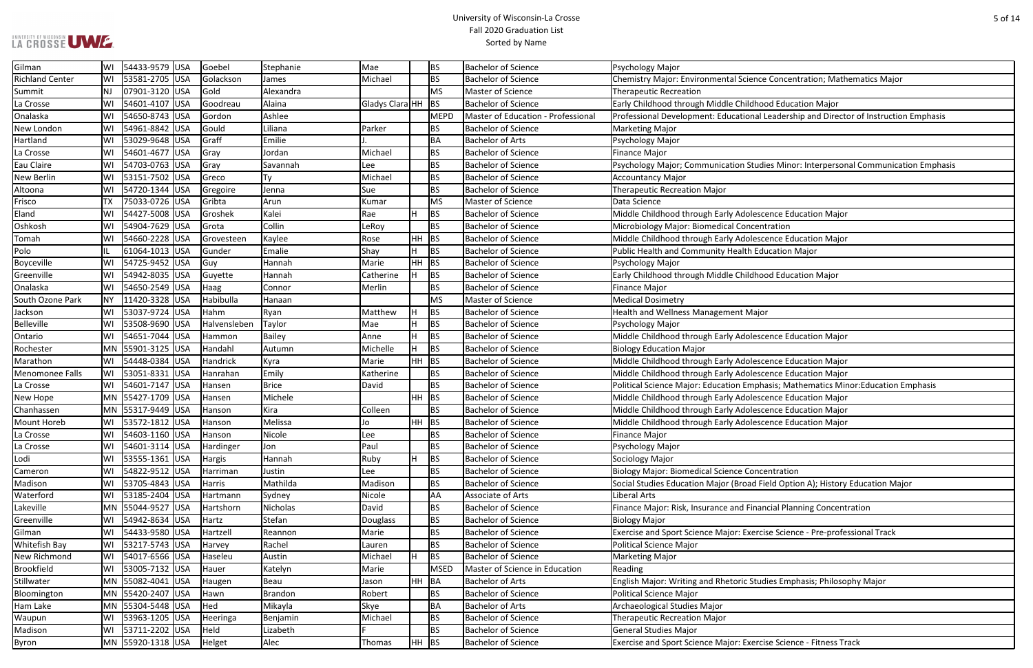### University of Wisconsin-La Crosse Fall 2020 Graduation List Sorted by Name

nce Concentration; Mathematics Major

al Leadership and Director of Instruction Emphasis

Idies Minor: Interpersonal Communication Emphasis

bhasis; Mathematics Minor: Education Emphasis

Field Option A); History Education Major

ancial Planning Concentration

rcise Science - Pre-professional Track

udies Emphasis; Philosophy Major

cise Science - Fitness Track

| Gilman                 | WI        | 54433-9579 USA    | Goebel       | Stephanie     | Mae                |           | <b>BS</b> | <b>Bachelor of Science</b>         | Psychology Major                                                |
|------------------------|-----------|-------------------|--------------|---------------|--------------------|-----------|-----------|------------------------------------|-----------------------------------------------------------------|
| <b>Richland Center</b> | WI        | 53581-2705 USA    | Golackson    | James         | Michael            |           | <b>BS</b> | <b>Bachelor of Science</b>         | Chemistry Major: Environmental Science Concentration; Math      |
| Summit                 | NJ        | 07901-3120 USA    | Gold         | Alexandra     |                    |           | MS        | Master of Science                  | <b>Therapeutic Recreation</b>                                   |
| La Crosse              | WI        | 54601-4107 USA    | Goodreau     | Alaina        | Gladys Clara HH BS |           |           | <b>Bachelor of Science</b>         | Early Childhood through Middle Childhood Education Major        |
| Onalaska               | WI        | 54650-8743 USA    | Gordon       | Ashlee        |                    |           | MEPD      | Master of Education - Professional | Professional Development: Educational Leadership and Direct     |
| New London             | WI        | 54961-8842 USA    | Gould        | Liliana       | Parker             |           | <b>BS</b> | <b>Bachelor of Science</b>         | <b>Marketing Major</b>                                          |
| Hartland               | WI        | 53029-9648 USA    | Graff        | Emilie        |                    |           | BA        | <b>Bachelor of Arts</b>            | Psychology Major                                                |
| La Crosse              | WI        | 54601-4677 USA    | Gray         | Jordan        | Michael            |           | <b>BS</b> | <b>Bachelor of Science</b>         | <b>Finance Major</b>                                            |
| Eau Claire             | WI        | 54703-0763 USA    | Gray         | Savannah      | <b>Lee</b>         |           | <b>BS</b> | <b>Bachelor of Science</b>         | Psychology Major; Communication Studies Minor: Interpersor      |
| <b>New Berlin</b>      | WI        | 53151-7502 USA    | Greco        | Ty            | Michael            |           | <b>BS</b> | <b>Bachelor of Science</b>         | <b>Accountancy Major</b>                                        |
| Altoona                | WI        | 54720-1344 USA    | Gregoire     | Jenna         | Sue                |           | BS        | <b>Bachelor of Science</b>         | <b>Therapeutic Recreation Major</b>                             |
| Frisco                 | ТX        | 75033-0726 USA    | Gribta       | Arun          | Kumar              |           | MS        | Master of Science                  | Data Science                                                    |
| Eland                  | WI        | 54427-5008 USA    | Groshek      | Kalei         | Rae                | H.        | BS        | <b>Bachelor of Science</b>         | Middle Childhood through Early Adolescence Education Major      |
| Oshkosh                | WI        | 54904-7629 USA    | Grota        | Collin        | LeRoy              |           | <b>BS</b> | <b>Bachelor of Science</b>         | Microbiology Major: Biomedical Concentration                    |
| Tomah                  | WI        | 54660-2228 USA    | Grovesteen   | Kaylee        | Rose               | $HH$ BS   |           | <b>Bachelor of Science</b>         | Middle Childhood through Early Adolescence Education Major      |
| Polo                   | IL        | 61064-1013 USA    | Gunder       | Emalie        | Shay               | H.        | BS        | <b>Bachelor of Science</b>         | Public Health and Community Health Education Major              |
| Boyceville             | WI        | 54725-9452 USA    | Guy          | Hannah        | Marie              | $HH$ BS   |           | <b>Bachelor of Science</b>         | Psychology Major                                                |
| Greenville             | WI        | 54942-8035 USA    | Guyette      | Hannah        | Catherine          | H         | BS        | <b>Bachelor of Science</b>         | Early Childhood through Middle Childhood Education Major        |
| Onalaska               | WI        | 54650-2549 USA    | Haag         | Connor        | Merlin             |           | <b>BS</b> | <b>Bachelor of Science</b>         | <b>Finance Major</b>                                            |
| South Ozone Park       | <b>NY</b> | 11420-3328 USA    | Habibulla    | Hanaan        |                    |           | MS        | Master of Science                  | <b>Medical Dosimetry</b>                                        |
| Jackson                | WI        | 53037-9724 USA    | Hahm         | Ryan          | Matthew            | H         | <b>BS</b> | <b>Bachelor of Science</b>         | Health and Wellness Management Major                            |
| <b>Belleville</b>      | WI        | 53508-9690 USA    | Halvensleben | Taylor        | Mae                | H.        | <b>BS</b> | <b>Bachelor of Science</b>         | Psychology Major                                                |
| Ontario                | WI        | 54651-7044 USA    | Hammon       | <b>Bailey</b> | Anne               | H.        | <b>BS</b> | <b>Bachelor of Science</b>         | Middle Childhood through Early Adolescence Education Major      |
| Rochester              |           | MN 55901-3125 USA | Handahl      | Autumn        | Michelle           | H         | BS        | <b>Bachelor of Science</b>         | <b>Biology Education Major</b>                                  |
| Marathon               | WI        | 54448-0384 USA    | Handrick     | Kyra          | Marie              | $HH$ BS   |           | <b>Bachelor of Science</b>         | Middle Childhood through Early Adolescence Education Major      |
| Menomonee Falls        | WI        | 53051-8331 USA    | Hanrahan     | Emily         | Katherine          |           | <b>BS</b> | <b>Bachelor of Science</b>         | Middle Childhood through Early Adolescence Education Major      |
| La Crosse              | WI        | 54601-7147 USA    | Hansen       | <b>Brice</b>  | David              |           | <b>BS</b> | <b>Bachelor of Science</b>         | Political Science Major: Education Emphasis; Mathematics Mir    |
| New Hope               |           | MN 55427-1709 USA | Hansen       | Michele       |                    | $HH$ BS   |           | <b>Bachelor of Science</b>         | Middle Childhood through Early Adolescence Education Major      |
| Chanhassen             |           | MN 55317-9449 USA | Hanson       | Kira          | Colleen            |           | <b>BS</b> | <b>Bachelor of Science</b>         | Middle Childhood through Early Adolescence Education Major      |
| <b>Mount Horeb</b>     | WI        | 53572-1812 USA    | Hanson       | Melissa       | Jo                 | $HH$ BS   |           | <b>Bachelor of Science</b>         | Middle Childhood through Early Adolescence Education Major      |
| La Crosse              | WI        | 54603-1160 USA    | Hanson       | Nicole        | Lee                |           | <b>BS</b> | <b>Bachelor of Science</b>         | Finance Major                                                   |
| La Crosse              | WI        | 54601-3114 USA    | Hardinger    | Jon           | Paul               |           | <b>BS</b> | <b>Bachelor of Science</b>         | Psychology Major                                                |
| Lodi                   | WI        | 53555-1361 USA    | Hargis       | Hannah        | Ruby               | H.        | <b>BS</b> | <b>Bachelor of Science</b>         | Sociology Major                                                 |
| Cameron                | WI        | 54822-9512 USA    | Harriman     | Justin        | Lee                |           | <b>BS</b> | <b>Bachelor of Science</b>         | <b>Biology Major: Biomedical Science Concentration</b>          |
| Madison                | WI        | 53705-4843 USA    | Harris       | Mathilda      | Madison            |           | <b>BS</b> | <b>Bachelor of Science</b>         | Social Studies Education Major (Broad Field Option A); History  |
| Waterford              | WI        | 53185-2404 USA    | Hartmann     | Sydney        | Nicole             |           | <b>AA</b> | Associate of Arts                  | Liberal Arts                                                    |
| Lakeville              |           | MN 55044-9527 USA | Hartshorn    | Nicholas      | David              |           | <b>BS</b> | <b>Bachelor of Science</b>         | Finance Major: Risk, Insurance and Financial Planning Concent   |
| Greenville             | WI        | 54942-8634 USA    | Hartz        | Stefan        | Douglass           |           | <b>BS</b> | <b>Bachelor of Science</b>         | <b>Biology Major</b>                                            |
| Gilman                 | WI        | 54433-9580 USA    | Hartzell     | Reannon       | Marie              |           | <b>BS</b> | <b>Bachelor of Science</b>         | Exercise and Sport Science Major: Exercise Science - Pre-profe  |
| Whitefish Bay          | WI        | 53217-5743 USA    | Harvey       | Rachel        | Lauren             |           | <b>BS</b> | <b>Bachelor of Science</b>         | Political Science Major                                         |
| New Richmond           | WI        | 54017-6566 USA    | Haseleu      | Austin        | Michael            | Н.        | <b>BS</b> | <b>Bachelor of Science</b>         | <b>Marketing Major</b>                                          |
| <b>Brookfield</b>      | WI        | 53005-7132 USA    | Hauer        | Katelyn       | Marie              |           | MSED      | Master of Science in Education     | Reading                                                         |
| Stillwater             |           | MN 55082-4041 USA | Haugen       | Beau          | Jason              | $HH$ $BA$ |           | <b>Bachelor of Arts</b>            | English Major: Writing and Rhetoric Studies Emphasis; Philoso   |
| Bloomington            |           | MN 55420-2407 USA | Hawn         | Brandon       | Robert             |           | <b>BS</b> | <b>Bachelor of Science</b>         | <b>Political Science Major</b>                                  |
| Ham Lake               |           | MN 55304-5448 USA | Hed          | Mikayla       | Skye               |           | <b>BA</b> | <b>Bachelor of Arts</b>            | Archaeological Studies Major                                    |
| Waupun                 | WI        | 53963-1205 USA    | Heeringa     | Benjamin      | Michael            |           | BS        | <b>Bachelor of Science</b>         | <b>Therapeutic Recreation Major</b>                             |
| Madison                | WI        | 53711-2202 USA    | Held         | Lizabeth      |                    |           | <b>BS</b> | <b>Bachelor of Science</b>         | <b>General Studies Major</b>                                    |
| Byron                  |           | MN 55920-1318 USA | Helget       | Alec          | Thomas             | $HH$ BS   |           | <b>Bachelor of Science</b>         | Exercise and Sport Science Major: Exercise Science - Fitness Tr |
|                        |           |                   |              |               |                    |           |           |                                    |                                                                 |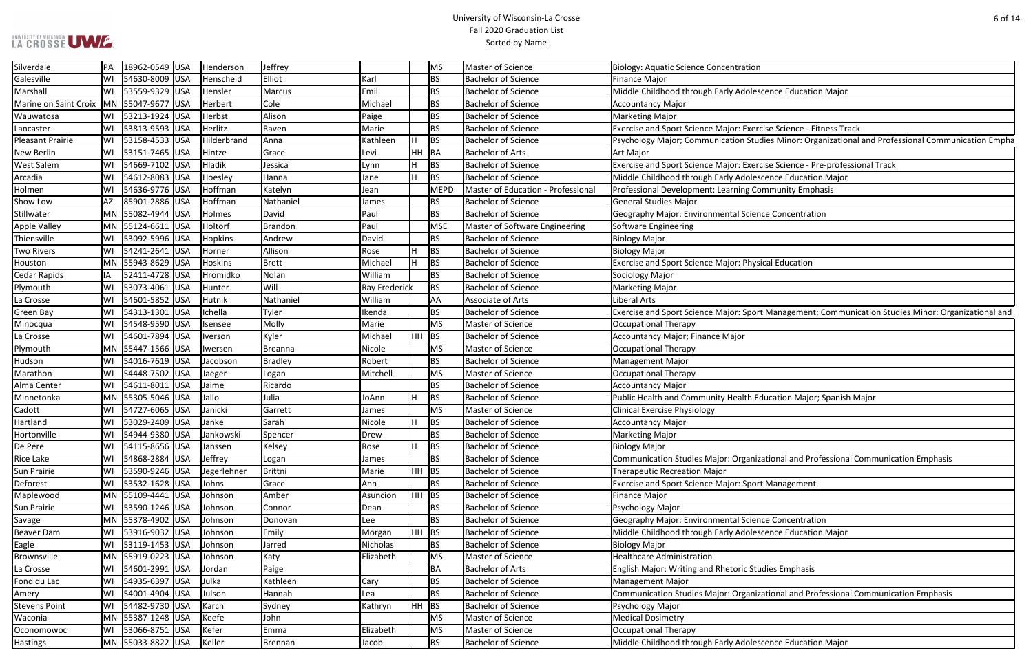### University of Wisconsin-La Crosse Fall 2020 Graduation List Sorted by Name

rcise Science - Fitness Track udies Minor: Organizational and Professional Communication Empha

Pricise Science - Pre-professional Track **Excence Education Major** B

ort Management; Communication Studies Minor: Organizational and

Education Major; Spanish Major

izational and Professional Communication Emphasis

**Beau Exame Education Major Education Major** 

izational and Professional Communication Emphasis

| Silverdale                                | PA | 18962-0549 USA    | Henderson      | Jeffrey          |                 |         | MS        | Master of Science                  | <b>Biology: Aquatic Science Concentration</b>                   |
|-------------------------------------------|----|-------------------|----------------|------------------|-----------------|---------|-----------|------------------------------------|-----------------------------------------------------------------|
| Galesville                                | WI | 54630-8009 USA    | Henscheid      | Elliot           | Karl            |         | <b>BS</b> | <b>Bachelor of Science</b>         | <b>Finance Major</b>                                            |
| Marshall                                  | WI | 53559-9329 USA    | Hensler        | Marcus           | Emil            |         | BS        | <b>Bachelor of Science</b>         | Middle Childhood through Early Adolescence Education Major      |
| Marine on Saint Croix   MN 55047-9677 USA |    |                   | Herbert        | Cole             | Michael         |         | BS        | <b>Bachelor of Science</b>         | <b>Accountancy Major</b>                                        |
| Wauwatosa                                 | WI | 53213-1924 USA    | Herbst         | Alison           | Paige           |         | BS        | <b>Bachelor of Science</b>         | <b>Marketing Major</b>                                          |
| Lancaster                                 | WI | 53813-9593 USA    | Herlitz        | Raven            | Marie           |         | BS        | <b>Bachelor of Science</b>         | Exercise and Sport Science Major: Exercise Science - Fitness Tr |
| <b>Pleasant Prairie</b>                   | WI | 53158-4533 USA    | Hilderbrand    | Anna             | Kathleen        | H       | <b>BS</b> | <b>Bachelor of Science</b>         | Psychology Major; Communication Studies Minor: Organizatio      |
| <b>New Berlin</b>                         | WI | 53151-7465 USA    | Hintze         | Grace            | Levi            | HH      | BA        | <b>Bachelor of Arts</b>            | <b>Art Major</b>                                                |
| <b>West Salem</b>                         | WI | 54669-7102 USA    | Hladik         | Jessica          | Lynn            | H       | <b>BS</b> | <b>Bachelor of Science</b>         | Exercise and Sport Science Major: Exercise Science - Pre-profe  |
| Arcadia                                   | WI | 54612-8083 USA    | Hoesley        | Hanna            | Jane            | H.      | <b>BS</b> | <b>Bachelor of Science</b>         | Middle Childhood through Early Adolescence Education Major      |
| Holmen                                    | WI | 54636-9776 USA    | Hoffman        | Katelyn          | Jean            |         | MEPD      | Master of Education - Professional | Professional Development: Learning Community Emphasis           |
| Show Low                                  | AZ | 85901-2886 USA    | Hoffman        | Nathaniel        | James           |         | BS        | <b>Bachelor of Science</b>         | <b>General Studies Major</b>                                    |
| Stillwater                                |    | MN 55082-4944 USA | Holmes         | David            | Paul            |         | <b>BS</b> | <b>Bachelor of Science</b>         | Geography Major: Environmental Science Concentration            |
| Apple Valley                              |    | MN 55124-6611 USA | Holtorf        | Brandon          | Paul            |         | MSE       | Master of Software Engineering     | Software Engineering                                            |
| Thiensville                               | WI | 53092-5996 USA    | Hopkins        | Andrew           | David           |         | <b>BS</b> | <b>Bachelor of Science</b>         | <b>Biology Major</b>                                            |
| <b>Two Rivers</b>                         | WI | 54241-2641 USA    | Horner         | Allison          | Rose            | H       | BS        | <b>Bachelor of Science</b>         | <b>Biology Major</b>                                            |
| Houston                                   |    | MN 55943-8629 USA | <b>Hoskins</b> | <b>Brett</b>     | Michael         | H       | <b>BS</b> | <b>Bachelor of Science</b>         | Exercise and Sport Science Major: Physical Education            |
| <b>Cedar Rapids</b>                       | IA | 52411-4728 USA    | Hromidko       | Nolan            | William         |         | BS        | <b>Bachelor of Science</b>         | Sociology Major                                                 |
| Plymouth                                  | WI | 53073-4061 USA    | Hunter         | Will             | Ray Frederick   |         | <b>BS</b> | <b>Bachelor of Science</b>         | <b>Marketing Major</b>                                          |
| La Crosse                                 | WI | 54601-5852 USA    | <b>Hutnik</b>  | Nathaniel        | William         |         | <b>AA</b> | Associate of Arts                  | <b>Liberal Arts</b>                                             |
| <b>Green Bay</b>                          | WI | 54313-1301 USA    | Ichella        | Tyler            | Ikenda          |         | BS        | <b>Bachelor of Science</b>         | Exercise and Sport Science Major: Sport Management; Comm        |
| Minocqua                                  | WI | 54548-9590 USA    | Isensee        | Molly            | Marie           |         | MS        | Master of Science                  | <b>Occupational Therapy</b>                                     |
| La Crosse                                 | WI | 54601-7894 USA    | Iverson        | Kyler            | Michael         | HH BS   |           | <b>Bachelor of Science</b>         | Accountancy Major; Finance Major                                |
| Plymouth                                  |    | MN 55447-1566 USA | Iwersen        | Breanna          | Nicole          |         | MS        | Master of Science                  | Occupational Therapy                                            |
| Hudson                                    | WI | 54016-7619 USA    | Jacobson       | Bradley          | Robert          |         | <b>BS</b> | <b>Bachelor of Science</b>         | <b>Management Major</b>                                         |
| Marathon                                  | WI | 54448-7502 USA    | Jaeger         |                  | Mitchell        |         | MS        | Master of Science                  | <b>Occupational Therapy</b>                                     |
| Alma Center                               | WI | 54611-8011 USA    |                | Logan<br>Ricardo |                 |         | <b>BS</b> | <b>Bachelor of Science</b>         |                                                                 |
|                                           |    | MN 55305-5046 USA | Jaime<br>Jallo | Julia            |                 | H       | BS        | <b>Bachelor of Science</b>         | <b>Accountancy Major</b>                                        |
| Minnetonka                                |    |                   |                |                  | JoAnn           |         |           |                                    | Public Health and Community Health Education Major; Spanis      |
| Cadott                                    | WI | 54727-6065 USA    | Janicki        | Garrett          | James           |         | MS        | Master of Science                  | <b>Clinical Exercise Physiology</b>                             |
| Hartland                                  | WI | 53029-2409<br>USA | Janke          | Sarah            | Nicole          | H       | BS        | <b>Bachelor of Science</b>         | <b>Accountancy Major</b>                                        |
| Hortonville                               | WI | 54944-9380 USA    | Jankowski      | Spencer          | Drew            |         | <b>BS</b> | <b>Bachelor of Science</b>         | <b>Marketing Major</b>                                          |
| De Pere                                   | WI | 54115-8656 USA    | Janssen        | Kelsey           | Rose            | H       | <b>BS</b> | <b>Bachelor of Science</b>         | <b>Biology Major</b>                                            |
| Rice Lake                                 | WI | 54868-2884 USA    | Jeffrey        | Logan            | James           |         | <b>BS</b> | <b>Bachelor of Science</b>         | Communication Studies Major: Organizational and Professiona     |
| Sun Prairie                               | WI | 53590-9246 USA    | Jegerlehner    | Brittni          | Marie           | $HH$ BS |           | <b>Bachelor of Science</b>         | <b>Therapeutic Recreation Major</b>                             |
| Deforest                                  | WI | 53532-1628 USA    | Johns          | Grace            | Ann             |         | <b>BS</b> | <b>Bachelor of Science</b>         | <b>Exercise and Sport Science Major: Sport Management</b>       |
| Maplewood                                 |    | MN 55109-4441 USA | Johnson        | Amber            | Asuncion        | $HH$ BS |           | <b>Bachelor of Science</b>         | Finance Major                                                   |
| Sun Prairie                               | WI | 53590-1246 USA    | Johnson        | Connor           | Dean            |         | BS        | <b>Bachelor of Science</b>         | Psychology Major                                                |
| Savage                                    |    | MN 55378-4902 USA | Johnson        | Donovan          | Lee             |         | BS        | <b>Bachelor of Science</b>         | Geography Major: Environmental Science Concentration            |
| <b>Beaver Dam</b>                         | WI | 53916-9032 USA    | Johnson        | Emily            | Morgan          | $HH$ BS |           | <b>Bachelor of Science</b>         | Middle Childhood through Early Adolescence Education Major      |
| Eagle                                     | WI | 53119-1453 USA    | Johnson        | Jarred           | <b>Nicholas</b> |         | <b>BS</b> | <b>Bachelor of Science</b>         | <b>Biology Major</b>                                            |
| Brownsville                               |    | MN 55919-0223 USA | Johnson        | Katy             | Elizabeth       |         | MS        | Master of Science                  | <b>Healthcare Administration</b>                                |
| La Crosse                                 | WI | 54601-2991 USA    | Jordan         | Paige            |                 |         | BA        | <b>Bachelor of Arts</b>            | English Major: Writing and Rhetoric Studies Emphasis            |
| Fond du Lac                               | WI | 54935-6397 USA    | Julka          | Kathleen         | Cary            |         | BS        | <b>Bachelor of Science</b>         | <b>Management Major</b>                                         |
| Amery                                     | WI | 54001-4904 USA    | Julson         | Hannah           | Lea             |         | <b>BS</b> | <b>Bachelor of Science</b>         | Communication Studies Major: Organizational and Professiona     |
| <b>Stevens Point</b>                      | WI | 54482-9730 USA    | Karch          | Sydney           | Kathryn         | $HH$ BS |           | <b>Bachelor of Science</b>         | Psychology Major                                                |
| Waconia                                   |    | MN 55387-1248 USA | Keefe          | John             |                 |         | <b>MS</b> | Master of Science                  | <b>Medical Dosimetry</b>                                        |
| Oconomowoc                                | WI | 53066-8751 USA    | Kefer          | Emma             | Elizabeth       |         | MS        | Master of Science                  | <b>Occupational Therapy</b>                                     |
| <b>Hastings</b>                           |    | MN 55033-8822 USA | Keller         | Brennan          | Jacob           |         | <b>BS</b> | <b>Bachelor of Science</b>         | Middle Childhood through Early Adolescence Education Major      |
|                                           |    |                   |                |                  |                 |         |           |                                    |                                                                 |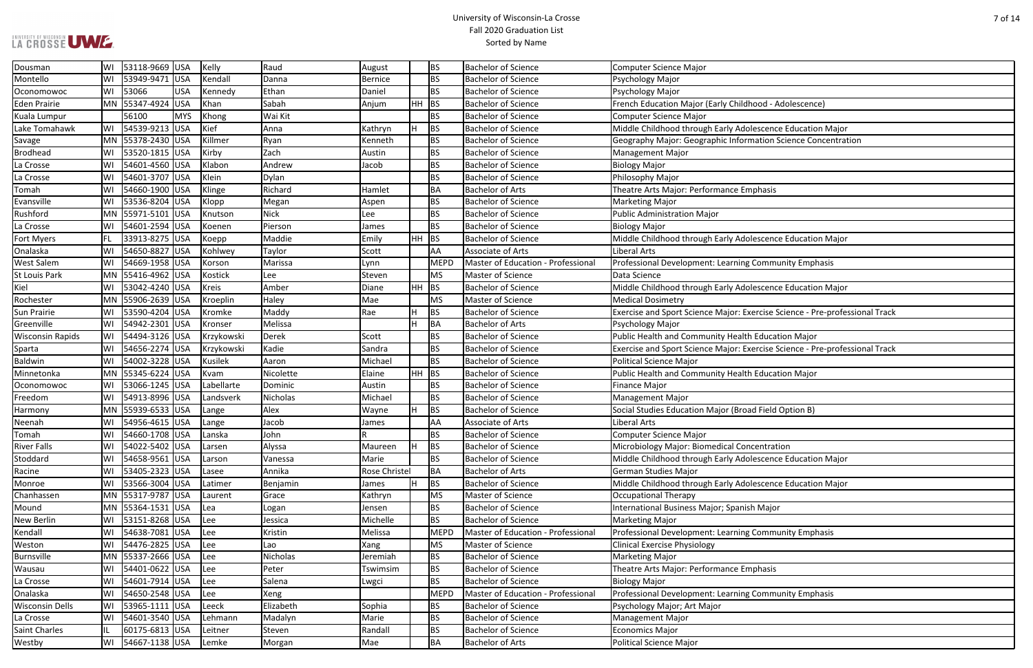### University of Wisconsin-La Crosse Fall 2020 Graduation List Sorted by Name

# ation Science Concentration

scence Education Major

rcise Science - Pre-professional Track

Fraise Science - Pre-professional Track

| Dousman                 | WI  | 53118-9669 USA    |            | Kelly          | Raud        | August         |         | BS          | <b>Bachelor of Science</b>         | <b>Computer Science Major</b>                                  |
|-------------------------|-----|-------------------|------------|----------------|-------------|----------------|---------|-------------|------------------------------------|----------------------------------------------------------------|
| Montello                | WI  | 53949-9471        | USA        | Kendall        | Danna       | <b>Bernice</b> |         | BS          | <b>Bachelor of Science</b>         | Psychology Major                                               |
| Oconomowoc              | WI  | 53066             | <b>USA</b> | Kennedy        | Ethan       | Daniel         |         | BS          | <b>Bachelor of Science</b>         | Psychology Major                                               |
| Eden Prairie            |     | MN 55347-4924     | USA        | Khan           | Sabah       | Anjum          | $HH$ BS |             | <b>Bachelor of Science</b>         | French Education Major (Early Childhood - Adolescence)         |
| Kuala Lumpur            |     | 56100             | <b>MYS</b> | Khong          | Wai Kit     |                |         | BS          | <b>Bachelor of Science</b>         | <b>Computer Science Major</b>                                  |
| Lake Tomahawk           | WI  | 54539-9213 USA    |            | Kief           | Anna        | Kathryn        | H.      | BS          | <b>Bachelor of Science</b>         | Middle Childhood through Early Adolescence Education Major     |
| Savage                  |     | MN 55378-2430 USA |            | Killmer        | Ryan        | Kenneth        |         | BS          | <b>Bachelor of Science</b>         | Geography Major: Geographic Information Science Concentra      |
| <b>Brodhead</b>         | W١  | 53520-1815 USA    |            | Kirby          | Zach        | Austin         |         | BS          | <b>Bachelor of Science</b>         | Management Major                                               |
| La Crosse               | WI  | 54601-4560 USA    |            | Klabon         | Andrew      | Jacob          |         | <b>BS</b>   | <b>Bachelor of Science</b>         | <b>Biology Major</b>                                           |
| La Crosse               | WI  | 54601-3707 USA    |            | Klein          | Dylan       |                |         | BS          | <b>Bachelor of Science</b>         | Philosophy Major                                               |
| Tomah                   | WI  | 54660-1900 USA    |            | Klinge         | Richard     | Hamlet         |         | BA          | <b>Bachelor of Arts</b>            | Theatre Arts Major: Performance Emphasis                       |
| Evansville              | WI  | 53536-8204 USA    |            | Klopp          | Megan       | Aspen          |         | BS          | <b>Bachelor of Science</b>         | <b>Marketing Major</b>                                         |
| Rushford                |     | MN 55971-5101 USA |            | Knutson        | <b>Nick</b> | Lee            |         | BS          | <b>Bachelor of Science</b>         | <b>Public Administration Major</b>                             |
| La Crosse               | WI  | 54601-2594 USA    |            | Koenen         | Pierson     | James          |         | BS          | <b>Bachelor of Science</b>         | <b>Biology Major</b>                                           |
| <b>Fort Myers</b>       | FL. | 33913-8275 USA    |            | Koepp          | Maddie      | Emily          | $HH$ BS |             | <b>Bachelor of Science</b>         | Middle Childhood through Early Adolescence Education Major     |
| Onalaska                | WI  | 54650-8827        | USA        | Kohlwey        | Taylor      | Scott          |         | <b>AA</b>   | Associate of Arts                  | <b>Liberal Arts</b>                                            |
| <b>West Salem</b>       | WI  | 54669-1958 USA    |            | Korson         | Marissa     | Lynn           |         | MEPD        | Master of Education - Professional | Professional Development: Learning Community Emphasis          |
| St Louis Park           |     | MN 55416-4962 USA |            | Kostick        | Lee         | Steven         |         | MS          | Master of Science                  | Data Science                                                   |
| Kiel                    | WI  | 53042-4240 USA    |            | <b>Kreis</b>   | Amber       | Diane          | $HH$ BS |             | <b>Bachelor of Science</b>         | Middle Childhood through Early Adolescence Education Major     |
| Rochester               |     | MN 55906-2639 USA |            | Kroeplin       | Haley       | Mae            |         | MS          | Master of Science                  | <b>Medical Dosimetry</b>                                       |
| Sun Prairie             | WI  | 53590-4204 USA    |            | Kromke         | Maddy       | Rae            | н       | <b>BS</b>   | <b>Bachelor of Science</b>         | Exercise and Sport Science Major: Exercise Science - Pre-profe |
| Greenville              | WI  | 54942-2301 USA    |            | Kronser        | Melissa     |                | H.      | BA          | <b>Bachelor of Arts</b>            | Psychology Major                                               |
| <b>Wisconsin Rapids</b> | WI  | 54494-3126 USA    |            | Krzykowski     | Derek       | Scott          |         | <b>BS</b>   | <b>Bachelor of Science</b>         | Public Health and Community Health Education Major             |
| Sparta                  | WI  | 54656-2274 USA    |            | Krzykowski     | Kadie       | Sandra         |         | BS          | <b>Bachelor of Science</b>         | Exercise and Sport Science Major: Exercise Science - Pre-profe |
| Baldwin                 | WI  | 54002-3228 USA    |            | <b>Kusilek</b> | Aaron       | Michael        |         | <b>BS</b>   | <b>Bachelor of Science</b>         | <b>Political Science Major</b>                                 |
| Minnetonka              |     | MN 55345-6224     | USA        | Kvam           | Nicolette   | Elaine         | $HH$ BS |             | <b>Bachelor of Science</b>         | Public Health and Community Health Education Major             |
| Oconomowoc              | WI  | 53066-1245 USA    |            | Labellarte     | Dominic     | Austin         |         | BS          | <b>Bachelor of Science</b>         | <b>Finance Major</b>                                           |
| Freedom                 | WI  | 54913-8996 USA    |            | Landsverk      | Nicholas    | Michael        |         | <b>BS</b>   | <b>Bachelor of Science</b>         | <b>Management Major</b>                                        |
| Harmony                 |     | MN 55939-6533 USA |            | Lange          | Alex        | Wayne          | H       | <b>BS</b>   | <b>Bachelor of Science</b>         | Social Studies Education Major (Broad Field Option B)          |
| Neenah                  | WI  | 54956-4615 USA    |            | Lange          | Jacob       | James          |         | <b>AA</b>   | Associate of Arts                  | Liberal Arts                                                   |
| Tomah                   | WI  | 54660-1708 USA    |            | Lanska         | John        | R              |         | BS          | <b>Bachelor of Science</b>         | <b>Computer Science Major</b>                                  |
| <b>River Falls</b>      | WI  | 54022-5402 USA    |            | Larsen         | Alyssa      | Maureen        | H       | <b>BS</b>   | <b>Bachelor of Science</b>         | Microbiology Major: Biomedical Concentration                   |
| Stoddard                | WI  | 54658-9561 USA    |            | Larson         | Vanessa     | Marie          |         | <b>BS</b>   | <b>Bachelor of Science</b>         | Middle Childhood through Early Adolescence Education Major     |
| Racine                  | WI  | 53405-2323 USA    |            | Lasee          | Annika      | Rose Christel  |         | BA          | <b>Bachelor of Arts</b>            | <b>German Studies Major</b>                                    |
| Monroe                  | WI  | 53566-3004 USA    |            | Latimer        | Benjamin    | James          | H       | <b>BS</b>   | <b>Bachelor of Science</b>         | Middle Childhood through Early Adolescence Education Major     |
| Chanhassen              |     | MN 55317-9787 USA |            | Laurent        | Grace       | Kathryn        |         | MS          | Master of Science                  | <b>Occupational Therapy</b>                                    |
| Mound                   |     | MN 55364-1531 USA |            | Lea            | Logan       | Jensen         |         | <b>BS</b>   | <b>Bachelor of Science</b>         | International Business Major; Spanish Major                    |
| New Berlin              | WI  | 53151-8268 USA    |            | Lee            | Jessica     | Michelle       |         | <b>BS</b>   | <b>Bachelor of Science</b>         | <b>Marketing Major</b>                                         |
| Kendall                 | WI  | 54638-7081 USA    |            | Lee            | Kristin     | Melissa        |         | MEPD        | Master of Education - Professional | Professional Development: Learning Community Emphasis          |
| Weston                  | WI  | 54476-2825        | USA        | Lee            | Lao         | Xang           |         | MS          | Master of Science                  | <b>Clinical Exercise Physiology</b>                            |
| Burnsville              |     | MN 55337-2666 USA |            | Lee            | Nicholas    | Jeremiah       |         | <b>BS</b>   | <b>Bachelor of Science</b>         | <b>Marketing Major</b>                                         |
| Wausau                  | WI  | 54401-0622 USA    |            | Lee            | Peter       | Tswimsim       |         | <b>BS</b>   | <b>Bachelor of Science</b>         | Theatre Arts Major: Performance Emphasis                       |
| La Crosse               | WI  | 54601-7914 USA    |            | Lee            | Salena      | Lwgci          |         | <b>BS</b>   | <b>Bachelor of Science</b>         | <b>Biology Major</b>                                           |
| Onalaska                | WI  | 54650-2548 USA    |            | Lee            | Xeng        |                |         | <b>MEPD</b> | Master of Education - Professional | Professional Development: Learning Community Emphasis          |
| <b>Wisconsin Dells</b>  | WI  | 53965-1111 USA    |            | Leeck          | Elizabeth   | Sophia         |         | <b>BS</b>   | <b>Bachelor of Science</b>         | Psychology Major; Art Major                                    |
| La Crosse               | WI  | 54601-3540 USA    |            | Lehmann        | Madalyn     | Marie          |         | BS          | <b>Bachelor of Science</b>         | <b>Management Major</b>                                        |
| <b>Saint Charles</b>    | IL  | 60175-6813 USA    |            | Leitner        | Steven      | Randall        |         | <b>BS</b>   | <b>Bachelor of Science</b>         | <b>Economics Major</b>                                         |
| Westby                  | WI  | 54667-1138 USA    |            | Lemke          | Morgan      | Mae            |         | <b>BA</b>   | <b>Bachelor of Arts</b>            | Political Science Major                                        |
|                         |     |                   |            |                |             |                |         |             |                                    |                                                                |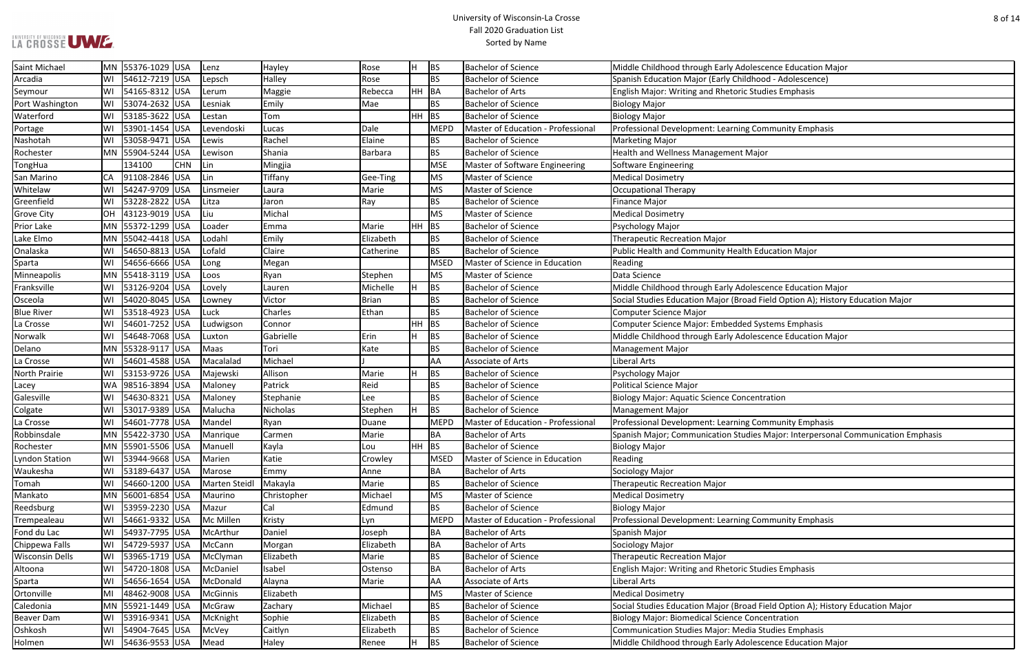### University of Wisconsin-La Crosse Fall 2020 Graduation List Sorted by Name

Franksville WI 53126-9204 USA Lovely Lauren Michelle H BS Bachelor of Science Middle Childhood through Early Adolescence Education Major I Field Option A); History Education Major

**Excence Education Major**<br> **Excence Education Major** 

**Robinso** Major: Interpersonal Communication Emphasis

Field Option A); History Education Major

| Saint Michael          |    | MN 55376-1029 USA |            | Lenz          | Hayley      | Rose         | H.      | BS          | <b>Bachelor of Science</b>         | Middle Childhood through Early Adolescence Education Major     |
|------------------------|----|-------------------|------------|---------------|-------------|--------------|---------|-------------|------------------------------------|----------------------------------------------------------------|
| Arcadia                | WI | 54612-7219 USA    |            | Lepsch        | Halley      | Rose         |         | BS          | <b>Bachelor of Science</b>         | Spanish Education Major (Early Childhood - Adolescence)        |
| Seymour                | WI | 54165-8312 USA    |            | Lerum         | Maggie      | Rebecca      | HH BA   |             | <b>Bachelor of Arts</b>            | English Major: Writing and Rhetoric Studies Emphasis           |
| Port Washington        | WI | 53074-2632 USA    |            | Lesniak       | Emily       | Mae          |         | <b>BS</b>   | <b>Bachelor of Science</b>         | <b>Biology Major</b>                                           |
| Waterford              | WI | 53185-3622 USA    |            | Lestan        | Tom         |              | $HH$ BS |             | <b>Bachelor of Science</b>         | <b>Biology Major</b>                                           |
| Portage                | WI | 53901-1454 USA    |            | Levendoski    | Lucas       | Dale         |         | MEPD        | Master of Education - Professional | Professional Development: Learning Community Emphasis          |
| Nashotah               | WI | 53058-9471 USA    |            | Lewis         | Rachel      | Elaine       |         | <b>BS</b>   | <b>Bachelor of Science</b>         | <b>Marketing Major</b>                                         |
| Rochester              |    | MN 55904-5244 USA |            | Lewison       | Shania      | Barbara      |         | <b>BS</b>   | <b>Bachelor of Science</b>         | Health and Wellness Management Major                           |
| TongHua                |    | 134100            | <b>CHN</b> | Lin           | Mingjia     |              |         | MSE         | Master of Software Engineering     | <b>Software Engineering</b>                                    |
| San Marino             | CA | 91108-2846 USA    |            | Lin           | Tiffany     | Gee-Ting     |         | MS          | Master of Science                  | <b>Medical Dosimetry</b>                                       |
| Whitelaw               | WI | 54247-9709        | USA        | Linsmeier     | Laura       | Marie        |         | MS          | Master of Science                  | <b>Occupational Therapy</b>                                    |
| Greenfield             | W١ | 53228-2822 USA    |            | Litza         | Jaron       | Ray          |         | <b>BS</b>   | <b>Bachelor of Science</b>         | <b>Finance Major</b>                                           |
| <b>Grove City</b>      | OH | 43123-9019 USA    |            | Liu           | Michal      |              |         | MS          | Master of Science                  | <b>Medical Dosimetry</b>                                       |
| Prior Lake             |    | MN 55372-1299 USA |            | Loader        | Emma        | Marie        | $HH$ BS |             | <b>Bachelor of Science</b>         | Psychology Major                                               |
| Lake Elmo              |    | MN 55042-4418 USA |            | Lodahl        | Emily       | Elizabeth    |         | <b>BS</b>   | <b>Bachelor of Science</b>         | <b>Therapeutic Recreation Major</b>                            |
| Onalaska               | WI | 54650-8813 USA    |            | Lofald        | Claire      | Catherine    |         | <b>BS</b>   | <b>Bachelor of Science</b>         | Public Health and Community Health Education Major             |
| Sparta                 | WI | 54656-6666 USA    |            | Long          | Megan       |              |         | <b>MSED</b> | Master of Science in Education     | Reading                                                        |
| Minneapolis            |    | MN 55418-3119 USA |            | Loos          | Ryan        | Stephen      |         | MS          | Master of Science                  | Data Science                                                   |
| Franksville            | WI | 53126-9204 USA    |            | Lovely        | Lauren      | Michelle     | H.      | <b>BS</b>   | <b>Bachelor of Science</b>         | Middle Childhood through Early Adolescence Education Major     |
| Osceola                | WI | 54020-8045 USA    |            | Lowney        | Victor      | <b>Brian</b> |         | <b>BS</b>   | <b>Bachelor of Science</b>         | Social Studies Education Major (Broad Field Option A); History |
| <b>Blue River</b>      | WI | 53518-4923 USA    |            | Luck          | Charles     | Ethan        |         | BS          | <b>Bachelor of Science</b>         | <b>Computer Science Major</b>                                  |
| La Crosse              | WI | 54601-7252 USA    |            | Ludwigson     | Connor      |              | HH.     | <b>BS</b>   | <b>Bachelor of Science</b>         | Computer Science Major: Embedded Systems Emphasis              |
| Norwalk                | WI | 54648-7068 USA    |            | Luxton        | Gabrielle   | Erin         | H       | BS          | <b>Bachelor of Science</b>         | Middle Childhood through Early Adolescence Education Major     |
| Delano                 |    | MN 55328-9117 USA |            | Maas          | Tori        | Kate         |         | BS          | <b>Bachelor of Science</b>         | <b>Management Major</b>                                        |
| La Crosse              | WI | 54601-4588 USA    |            | Macalalad     | Michael     |              |         | <b>AA</b>   | Associate of Arts                  | <b>Liberal Arts</b>                                            |
| <b>North Prairie</b>   | WI | 53153-9726 USA    |            | Majewski      | Allison     | Marie        | H.      | <b>BS</b>   | <b>Bachelor of Science</b>         | Psychology Major                                               |
| Lacey                  |    | WA 98516-3894 USA |            | Maloney       | Patrick     | Reid         |         | <b>BS</b>   | <b>Bachelor of Science</b>         | <b>Political Science Major</b>                                 |
| Galesville             | WI | 54630-8321 USA    |            | Maloney       | Stephanie   | Lee          |         | <b>BS</b>   | <b>Bachelor of Science</b>         | <b>Biology Major: Aquatic Science Concentration</b>            |
| Colgate                | WI | 53017-9389 USA    |            | Malucha       | Nicholas    | Stephen      | H       | BS          | <b>Bachelor of Science</b>         | <b>Management Major</b>                                        |
| La Crosse              | WI | 54601-7778 USA    |            | Mandel        | Ryan        | Duane        |         | <b>MEPD</b> | Master of Education - Professional | Professional Development: Learning Community Emphasis          |
| Robbinsdale            |    | MN 55422-3730 USA |            | Manrique      | Carmen      | Marie        |         | BA          | <b>Bachelor of Arts</b>            | Spanish Major; Communication Studies Major: Interpersonal C    |
| Rochester              |    | MN 55901-5506 USA |            | Manuell       | Kayla       | Lou          | $HH$ BS |             | <b>Bachelor of Science</b>         | <b>Biology Major</b>                                           |
| <b>Lyndon Station</b>  | WI | 53944-9668 USA    |            | Marien        | Katie       | Crowley      |         | MSED        | Master of Science in Education     | Reading                                                        |
| Waukesha               | WI | 53189-6437 USA    |            | Marose        | Emmy        | Anne         |         | BA          | <b>Bachelor of Arts</b>            | Sociology Major                                                |
| Tomah                  | WI | 54660-1200 USA    |            | Marten Steidl | Makayla     | Marie        |         | <b>BS</b>   | <b>Bachelor of Science</b>         | <b>Therapeutic Recreation Major</b>                            |
| Mankato                |    | MN 56001-6854 USA |            | Maurino       | Christopher | Michael      |         | MS          | Master of Science                  | <b>Medical Dosimetry</b>                                       |
| Reedsburg              | WI | 53959-2230 USA    |            | Mazur         | Cal         | Edmund       |         | <b>BS</b>   | <b>Bachelor of Science</b>         | <b>Biology Major</b>                                           |
| Trempealeau            | WI | 54661-9332 USA    |            | Mc Millen     | Kristy      | Lyn          |         | MEPD        | Master of Education - Professional | Professional Development: Learning Community Emphasis          |
| Fond du Lac            | WI | 54937-7795 USA    |            | McArthur      | Daniel      | Joseph       |         | BA          | <b>Bachelor of Arts</b>            | Spanish Major                                                  |
| Chippewa Falls         | WI | 54729-5937 USA    |            | McCann        | Morgan      | Elizabeth    |         | BA          | <b>Bachelor of Arts</b>            | Sociology Major                                                |
| <b>Wisconsin Dells</b> | WI | 53965-1719 USA    |            | McClyman      | Elizabeth   | Marie        |         | <b>BS</b>   | <b>Bachelor of Science</b>         | <b>Therapeutic Recreation Major</b>                            |
| Altoona                | WI | 54720-1808 USA    |            | McDaniel      | Isabel      | Ostenso      |         | <b>BA</b>   | <b>Bachelor of Arts</b>            | English Major: Writing and Rhetoric Studies Emphasis           |
| Sparta                 | WI | 54656-1654 USA    |            | McDonald      | Alayna      | Marie        |         | AA          | Associate of Arts                  | Liberal Arts                                                   |
| Ortonville             | MI | 48462-9008 USA    |            | McGinnis      | Elizabeth   |              |         | MS          | Master of Science                  | <b>Medical Dosimetry</b>                                       |
| Caledonia              |    | MN 55921-1449 USA |            | McGraw        | Zachary     | Michael      |         | <b>BS</b>   | <b>Bachelor of Science</b>         | Social Studies Education Major (Broad Field Option A); History |
| <b>Beaver Dam</b>      | WI | 53916-9341 USA    |            | McKnight      | Sophie      | Elizabeth    |         | <b>BS</b>   | <b>Bachelor of Science</b>         | <b>Biology Major: Biomedical Science Concentration</b>         |
| Oshkosh                | WI | 54904-7645 USA    |            | McVey         | Caitlyn     | Elizabeth    |         | BS          | <b>Bachelor of Science</b>         | Communication Studies Major: Media Studies Emphasis            |
| Holmen                 | WI | 54636-9553 USA    |            | Mead          | Haley       | Renee        | H       | <b>BS</b>   | <b>Bachelor of Science</b>         | Middle Childhood through Early Adolescence Education Major     |
|                        |    |                   |            |               |             |              |         |             |                                    |                                                                |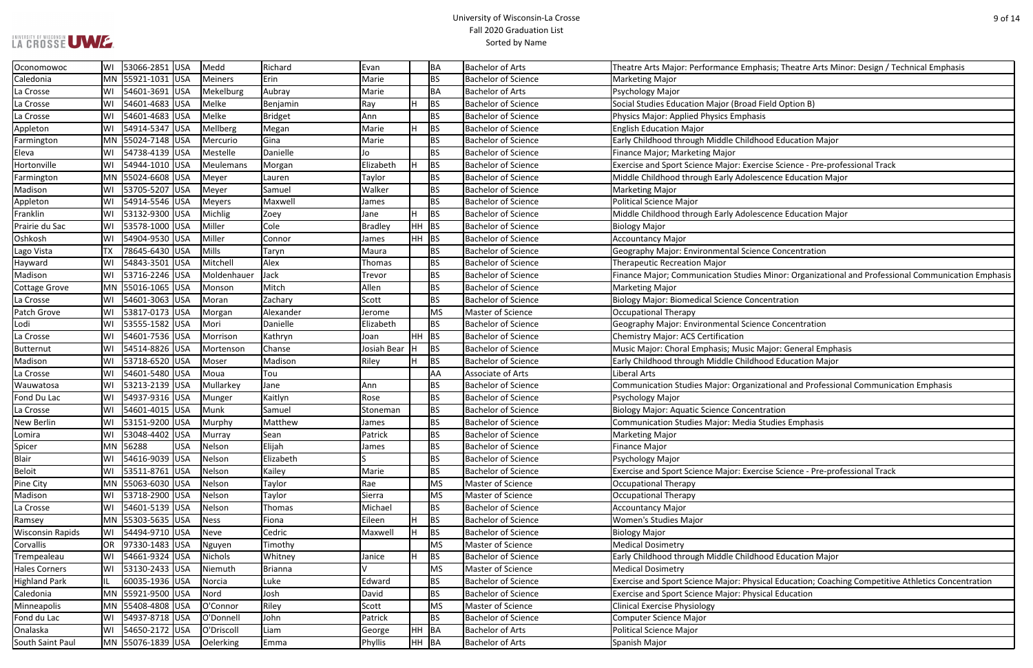### University of Wisconsin-La Crosse Fall 2020 Graduation List Sorted by Name

### hasis; Theatre Arts Minor: Design / Technical Emphasis

rcise Science - Pre-professional Track

s Minor: Organizational and Professional Communication Emphasis

Major: General Emphasis

zational and Professional Communication Emphasis

rcise Science - Pre-professional Track

sical Education; Coaching Competitive Athletics Concentration

| Oconomowoc              | WI        | 53066-2851 USA      |            | Medd        | Richard        | Evan          |         | BA        | <b>Bachelor of Arts</b>    | Theatre Arts Major: Performance Emphasis; Theatre Arts Mino    |
|-------------------------|-----------|---------------------|------------|-------------|----------------|---------------|---------|-----------|----------------------------|----------------------------------------------------------------|
| Caledonia               |           | MN 55921-1031 USA   |            | Meiners     | Erin           | Marie         |         | <b>BS</b> | <b>Bachelor of Science</b> | <b>Marketing Major</b>                                         |
| La Crosse               | WI        | 54601-3691 USA      |            | Mekelburg   | Aubray         | Marie         |         | BA        | <b>Bachelor of Arts</b>    | Psychology Major                                               |
| La Crosse               | WI        | 54601-4683          | USA        | Melke       | Benjamin       | Ray           |         | <b>BS</b> | <b>Bachelor of Science</b> | Social Studies Education Major (Broad Field Option B)          |
| La Crosse               | WI        | 54601-4683 USA      |            | Melke       | <b>Bridget</b> | Ann           |         | <b>BS</b> | <b>Bachelor of Science</b> | Physics Major: Applied Physics Emphasis                        |
| Appleton                | WI        | 54914-5347 USA      |            | Mellberg    | Megan          | Marie         |         | BS        | <b>Bachelor of Science</b> | <b>English Education Major</b>                                 |
| Farmington              |           | MN 55024-7148 USA   |            | Mercurio    | Gina           | Marie         |         | <b>BS</b> | <b>Bachelor of Science</b> | Early Childhood through Middle Childhood Education Major       |
| Eleva                   | WI        | 54738-4139 USA      |            | Mestelle    | Danielle       | Jo            |         | <b>BS</b> | <b>Bachelor of Science</b> | Finance Major; Marketing Major                                 |
| Hortonville             | WI        | 54944-1010 USA      |            | Meulemans   | Morgan         | Elizabeth     | H.      | <b>BS</b> | <b>Bachelor of Science</b> | Exercise and Sport Science Major: Exercise Science - Pre-profe |
| Farmington              |           | MN 55024-6608 USA   |            | Meyer       | Lauren         | Taylor        |         | <b>BS</b> | <b>Bachelor of Science</b> | Middle Childhood through Early Adolescence Education Major     |
| Madison                 | WI        | 53705-5207 USA      |            | Meyer       | Samuel         | Walker        |         | <b>BS</b> | <b>Bachelor of Science</b> | <b>Marketing Major</b>                                         |
| Appleton                | WI        | 54914-5546 USA      |            | Meyers      | Maxwell        | James         |         | <b>BS</b> | <b>Bachelor of Science</b> | <b>Political Science Major</b>                                 |
| Franklin                | WI        | 53132-9300 USA      |            | Michlig     | Zoey           | Jane          | H.      | <b>BS</b> | <b>Bachelor of Science</b> | Middle Childhood through Early Adolescence Education Major     |
| Prairie du Sac          | WI        | 53578-1000 USA      |            | Miller      | Cole           | Bradley       | $HH$ BS |           | <b>Bachelor of Science</b> | <b>Biology Major</b>                                           |
| Oshkosh                 | WI        | 54904-9530 USA      |            | Miller      | Connor         | James         | $HH$ BS |           | <b>Bachelor of Science</b> | <b>Accountancy Major</b>                                       |
| Lago Vista              | <b>TX</b> | 78645-6430 USA      |            | Mills       | Taryn          | Maura         |         | <b>BS</b> | <b>Bachelor of Science</b> | Geography Major: Environmental Science Concentration           |
| Hayward                 | WI        | 54843-3501 USA      |            | Mitchell    | Alex           | Thomas        |         | <b>BS</b> | <b>Bachelor of Science</b> | <b>Therapeutic Recreation Major</b>                            |
| Madison                 | WI        | 53716-2246 USA      |            | Moldenhauer | Jack           | Trevor        |         | <b>BS</b> | <b>Bachelor of Science</b> | Finance Major; Communication Studies Minor: Organizational     |
| <b>Cottage Grove</b>    |           | MN  55016-1065  USA |            | Monson      | Mitch          | Allen         |         | <b>BS</b> | <b>Bachelor of Science</b> | <b>Marketing Major</b>                                         |
| La Crosse               | WI        | 54601-3063 USA      |            | Moran       | Zachary        | Scott         |         | <b>BS</b> | <b>Bachelor of Science</b> | <b>Biology Major: Biomedical Science Concentration</b>         |
| Patch Grove             | WI        | 53817-0173 USA      |            | Morgan      | Alexander      | Jerome        |         | <b>MS</b> | Master of Science          | <b>Occupational Therapy</b>                                    |
| Lodi                    | WI        | 53555-1582 USA      |            | Mori        | Danielle       | Elizabeth     |         | <b>BS</b> | <b>Bachelor of Science</b> | Geography Major: Environmental Science Concentration           |
| La Crosse               | WI        | 54601-7536 USA      |            | Morrison    | Kathryn        | Joan          | $HH$ BS |           | <b>Bachelor of Science</b> | <b>Chemistry Major: ACS Certification</b>                      |
| Butternut               | WI        | 54514-8826 USA      |            | Mortenson   | Chanse         | Josiah Bear   |         | <b>BS</b> | <b>Bachelor of Science</b> | Music Major: Choral Emphasis; Music Major: General Emphas      |
| Madison                 | WI        | 53718-6520 USA      |            | Moser       | Madison        | Riley         |         | <b>BS</b> | <b>Bachelor of Science</b> | Early Childhood through Middle Childhood Education Major       |
| La Crosse               | WI        | 54601-5480 USA      |            | Moua        | Tou            |               |         | AA        | Associate of Arts          | Liberal Arts                                                   |
| Wauwatosa               | WI        | 53213-2139 USA      |            | Mullarkey   | Jane           | Ann           |         | <b>BS</b> | <b>Bachelor of Science</b> | Communication Studies Major: Organizational and Profession     |
| Fond Du Lac             | WI        | 54937-9316 USA      |            | Munger      | Kaitlyn        | Rose          |         | <b>BS</b> | <b>Bachelor of Science</b> | <b>Psychology Major</b>                                        |
| La Crosse               | WI        | 54601-4015 USA      |            | Munk        | Samuel         | Stoneman      |         | <b>BS</b> | <b>Bachelor of Science</b> | <b>Biology Major: Aquatic Science Concentration</b>            |
| <b>New Berlin</b>       | WI        | 53151-9200 USA      |            | Murphy      | Matthew        | James         |         | <b>BS</b> | <b>Bachelor of Science</b> | Communication Studies Major: Media Studies Emphasis            |
| Lomira                  | WI        | 53048-4402 USA      |            | Murray      | Sean           | Patrick       |         | <b>BS</b> | <b>Bachelor of Science</b> | <b>Marketing Major</b>                                         |
| Spicer                  |           | MN 56288            | <b>USA</b> | Nelson      | Elijah         | James         |         | <b>BS</b> | <b>Bachelor of Science</b> | <b>Finance Major</b>                                           |
| Blair                   | WI        | 54616-9039 USA      |            | Nelson      | Elizabeth      |               |         | <b>BS</b> | <b>Bachelor of Science</b> | Psychology Major                                               |
| <b>Beloit</b>           | WI        | 53511-8761 USA      |            | Nelson      | Kailey         | Marie         |         | <b>BS</b> | <b>Bachelor of Science</b> | Exercise and Sport Science Major: Exercise Science - Pre-profe |
| Pine City               |           | MN 55063-6030 USA   |            | Nelson      | Taylor         | Rae           |         | <b>MS</b> | Master of Science          | <b>Occupational Therapy</b>                                    |
| Madison                 | WI        | 53718-2900 USA      |            | Nelson      | Taylor         | Sierra        |         | MS        | Master of Science          | <b>Occupational Therapy</b>                                    |
| La Crosse               | WI        | 54601-5139 USA      |            | Nelson      | Thomas         | Michael       |         | <b>BS</b> | <b>Bachelor of Science</b> | <b>Accountancy Major</b>                                       |
| Ramsey                  |           | MN 55303-5635 USA   |            | <b>Ness</b> | Fiona          | Eileen        |         | BS        | <b>Bachelor of Science</b> | <b>Women's Studies Major</b>                                   |
| <b>Wisconsin Rapids</b> | WI        | 54494-9710 USA      |            | Neve        | Cedric         | Maxwell       | H.      | <b>BS</b> | <b>Bachelor of Science</b> | <b>Biology Major</b>                                           |
| Corvallis               | OR        | 97330-1483 USA      |            | Nguyen      | Timothy        |               |         | <b>MS</b> | Master of Science          | <b>Medical Dosimetry</b>                                       |
| Trempealeau             | WI        | 54661-9324 USA      |            | Nichols     | Whitney        | Janice        |         | BS        | <b>Bachelor of Science</b> | Early Childhood through Middle Childhood Education Major       |
| <b>Hales Corners</b>    | WI        | 53130-2433 USA      |            | Niemuth     | <b>Brianna</b> | $\mathcal{U}$ |         | MS        | Master of Science          | <b>Medical Dosimetry</b>                                       |
| <b>Highland Park</b>    | IL        | 60035-1936 USA      |            | Norcia      | Luke           | Edward        |         | <b>BS</b> | <b>Bachelor of Science</b> | Exercise and Sport Science Major: Physical Education; Coachin  |
| Caledonia               |           | MN 55921-9500 USA   |            | Nord        | Josh           | David         |         | <b>BS</b> | <b>Bachelor of Science</b> | Exercise and Sport Science Major: Physical Education           |
| Minneapolis             |           | MN 55408-4808 USA   |            | O'Connor    | Riley          | Scott         |         | MS        | Master of Science          | <b>Clinical Exercise Physiology</b>                            |
| Fond du Lac             | WI        | 54937-8718 USA      |            | O'Donnell   | John           | Patrick       |         | <b>BS</b> | <b>Bachelor of Science</b> | <b>Computer Science Major</b>                                  |
| Onalaska                | WI        | 54650-2172 USA      |            | O'Driscoll  | Liam           | George        | HH BA   |           | <b>Bachelor of Arts</b>    | <b>Political Science Major</b>                                 |
| South Saint Paul        |           | MN 55076-1839 USA   |            | Oelerking   | Emma           | Phyllis       | HH BA   |           | <b>Bachelor of Arts</b>    | Spanish Major                                                  |
|                         |           |                     |            |             |                |               |         |           |                            |                                                                |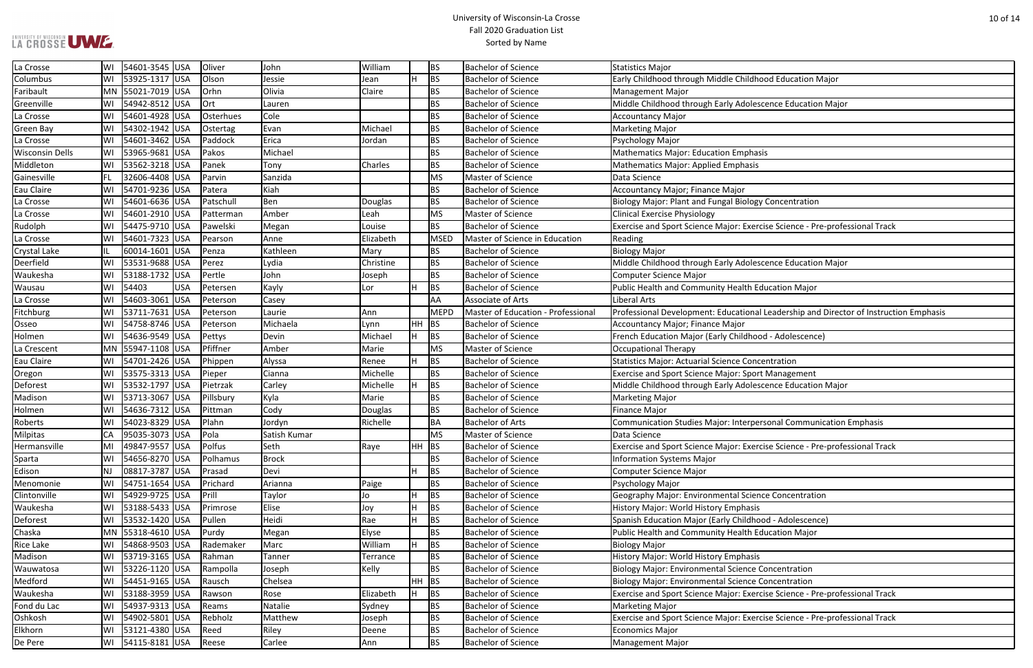## LA CROSSE UWE

### University of Wisconsin-La Crosse Fall 2020 Graduation List Sorted by Name

| <b>Ihood Education Major</b>                               |
|------------------------------------------------------------|
|                                                            |
| escence Education Major                                    |
|                                                            |
|                                                            |
| ıasis                                                      |
| is                                                         |
|                                                            |
| gy Concentration                                           |
|                                                            |
| ercise Science - Pre-professional Track                    |
|                                                            |
| escence Education Major                                    |
|                                                            |
| <b>Education Major</b>                                     |
|                                                            |
| al Leadership and Director of Instruction Emphasis         |
|                                                            |
| ood - Adolescence)                                         |
| ncentration                                                |
| ort Management                                             |
| escence Education Major                                    |
|                                                            |
|                                                            |
| personal Communication Emphasis                            |
|                                                            |
| ercise Science - Pre-professional Track                    |
|                                                            |
|                                                            |
| ence Concentration                                         |
| sis                                                        |
| hood - Adolescence)                                        |
| <b>Education Major</b>                                     |
|                                                            |
| sis                                                        |
| e Concentration                                            |
| e Concentration<br>ercise Science - Pre-professional Track |
|                                                            |
| ercise Science - Pre-professional Track                    |
|                                                            |
|                                                            |

| La Crosse              | WI  | 54601-3545 USA        |            | Oliver      | John         | William   |         | <b>BS</b>   | <b>Bachelor of Science</b>         | <b>Statistics Major</b>                                                               |
|------------------------|-----|-----------------------|------------|-------------|--------------|-----------|---------|-------------|------------------------------------|---------------------------------------------------------------------------------------|
| Columbus               |     | WI 53925-1317 USA     |            | Olson       | Jessie       | Jean      | H.      | <b>BS</b>   | <b>Bachelor of Science</b>         | Early Childhood through Middle Childhood Education Major                              |
| Faribault              |     | MN 55021-7019 USA     |            | <b>Orhn</b> | Olivia       | Claire    |         | <b>BS</b>   | <b>Bachelor of Science</b>         | <b>Management Major</b>                                                               |
| Greenville             |     | WI 54942-8512 USA     |            | $ $ Ort     | Lauren       |           |         | <b>BS</b>   | <b>Bachelor of Science</b>         | Middle Childhood through Early Adolescence Education Major                            |
| La Crosse              | WI  | 54601-4928 USA        |            | Osterhues   | Cole         |           |         | <b>BS</b>   | <b>Bachelor of Science</b>         | <b>Accountancy Major</b>                                                              |
| Green Bay              |     | WI 54302-1942 USA     |            | Ostertag    | Evan         | Michael   |         | <b>BS</b>   | <b>Bachelor of Science</b>         | <b>Marketing Major</b>                                                                |
| La Crosse              | W١  | 54601-3462 USA        |            | Paddock     | Erica        | Jordan    |         | <b>BS</b>   | <b>Bachelor of Science</b>         | Psychology Major                                                                      |
| <b>Wisconsin Dells</b> |     | 53965-9681 USA        |            | Pakos       | Michael      |           |         | <b>BS</b>   | <b>Bachelor of Science</b>         | <b>Mathematics Major: Education Emphasis</b>                                          |
| Middleton              | W١  | 53562-3218 USA        |            | Panek       | Tony         | Charles   |         | BS          | <b>Bachelor of Science</b>         | Mathematics Major: Applied Emphasis                                                   |
| Gainesville            | FL. | 32606-4408 USA        |            | Parvin      | Sanzida      |           |         | <b>MS</b>   | Master of Science                  | Data Science                                                                          |
| Eau Claire             |     | WI   54701-9236   USA |            | Patera      | Kiah         |           |         | <b>BS</b>   | <b>Bachelor of Science</b>         | Accountancy Major; Finance Major                                                      |
| La Crosse              | W١  | 54601-6636 USA        |            | Patschull   | Ben          | Douglas   |         | <b>BS</b>   | <b>Bachelor of Science</b>         | Biology Major: Plant and Fungal Biology Concentration                                 |
| La Crosse              | W١  | 54601-2910 USA        |            | Patterman   | Amber        | Leah      |         | <b>MS</b>   | Master of Science                  | <b>Clinical Exercise Physiology</b>                                                   |
| Rudolph                | W١  | 54475-9710 USA        |            | Pawelski    | Megan        | Louise    |         | <b>BS</b>   | <b>Bachelor of Science</b>         | Exercise and Sport Science Major: Exercise Science - Pre-professional Track           |
| La Crosse              | W١  | 54601-7323 USA        |            | Pearson     | Anne         | Elizabeth |         | <b>MSED</b> | Master of Science in Education     | Reading                                                                               |
| Crystal Lake           |     | 60014-1601 USA        |            | Penza       | Kathleen     | Mary      |         | <b>BS</b>   | <b>Bachelor of Science</b>         | <b>Biology Major</b>                                                                  |
| Deerfield              | W١  | 53531-9688 USA        |            | Perez       | Lydia        | Christine |         | <b>BS</b>   | <b>Bachelor of Science</b>         | Middle Childhood through Early Adolescence Education Major                            |
| Waukesha               | WI  | 53188-1732 USA        |            | Pertle      | John         | Joseph    |         | <b>BS</b>   | <b>Bachelor of Science</b>         | Computer Science Major                                                                |
| Wausau                 | WI  | 54403                 | <b>USA</b> | Petersen    | Kayly        | Lor       | H       | <b>BS</b>   | <b>Bachelor of Science</b>         | Public Health and Community Health Education Major                                    |
| La Crosse              |     | 54603-3061 USA        |            | Peterson    | Casey        |           |         | AA          | <b>Associate of Arts</b>           | Liberal Arts                                                                          |
| Fitchburg              | WI  | 53711-7631 USA        |            | Peterson    | Laurie       | Ann       |         | <b>MEPD</b> | Master of Education - Professional | Professional Development: Educational Leadership and Director of Instruction Emphasis |
| Osseo                  | W١  | 54758-8746 USA        |            | Peterson    | Michaela     | Lynn      | HH BS   |             | <b>Bachelor of Science</b>         | Accountancy Major; Finance Major                                                      |
| Holmen                 |     | WI   54636-9549   USA |            | Pettys      | Devin        | Michael   | H       | BS          | <b>Bachelor of Science</b>         | French Education Major (Early Childhood - Adolescence)                                |
| La Crescent            |     | MN 55947-1108 USA     |            | Pfiffner    | Amber        | Marie     |         | <b>MS</b>   | Master of Science                  | Occupational Therapy                                                                  |
| Eau Claire             |     | WI 54701-2426 USA     |            | Phippen     | Alyssa       | Renee     | H.      | <b>BS</b>   | <b>Bachelor of Science</b>         | Statistics Major: Actuarial Science Concentration                                     |
| Oregon                 | WI  | 53575-3313 USA        |            | Pieper      | Cianna       | Michelle  |         | <b>BS</b>   | <b>Bachelor of Science</b>         | Exercise and Sport Science Major: Sport Management                                    |
| Deforest               |     | 53532-1797 USA        |            | Pietrzak    | Carley       | Michelle  |         | <b>BS</b>   | <b>Bachelor of Science</b>         | Middle Childhood through Early Adolescence Education Major                            |
| Madison                | WI  | 53713-3067 USA        |            | Pillsbury   | Kyla         | Marie     |         | <b>BS</b>   | <b>Bachelor of Science</b>         | <b>Marketing Major</b>                                                                |
| Holmen                 | W١  | 54636-7312 USA        |            | Pittman     | Cody         | Douglas   |         | <b>BS</b>   | <b>Bachelor of Science</b>         | <b>Finance Major</b>                                                                  |
| Roberts                |     | 54023-8329 USA        |            | Plahn       | Jordyn       | Richelle  |         | BA          | <b>Bachelor of Arts</b>            | Communication Studies Major: Interpersonal Communication Emphasis                     |
| Milpitas               | СA  | 95035-3073 USA        |            | Pola        | Satish Kumar |           |         | <b>MS</b>   | Master of Science                  | Data Science                                                                          |
| Hermansville           | MI  | 49847-9557 USA        |            | Polfus      | Seth         | Raye      | $HH$ BS |             | <b>Bachelor of Science</b>         | Exercise and Sport Science Major: Exercise Science - Pre-professional Track           |
| Sparta                 | W١  | 54656-8270 USA        |            | Polhamus    | <b>Brock</b> |           |         | <b>BS</b>   | <b>Bachelor of Science</b>         | <b>Information Systems Major</b>                                                      |
| Edison                 | ΝJ  | 08817-3787 USA        |            | Prasad      | Devi         |           | Н.      | <b>BS</b>   | <b>Bachelor of Science</b>         | Computer Science Major                                                                |
| Menomonie              | WI  | 54751-1654 USA        |            | Prichard    | Arianna      | Paige     |         | <b>BS</b>   | <b>Bachelor of Science</b>         | Psychology Major                                                                      |
| Clintonville           | WI  | 54929-9725 USA        |            | Prill       | Taylor       | Jo        | н       | <b>BS</b>   | <b>Bachelor of Science</b>         | Geography Major: Environmental Science Concentration                                  |
| Waukesha               |     | WI 53188-5433 USA     |            | Primrose    | Elise        | Joy       | н       | <b>BS</b>   | <b>Bachelor of Science</b>         | History Major: World History Emphasis                                                 |
| Deforest               | WI  | 53532-1420 USA        |            | Pullen      | Heidi        | Rae       | Н.      | <b>BS</b>   | <b>Bachelor of Science</b>         | Spanish Education Major (Early Childhood - Adolescence)                               |
| Chaska                 |     | MN 55318-4610 USA     |            | Purdy       | Megan        | Elyse     |         | <b>BS</b>   | <b>Bachelor of Science</b>         | Public Health and Community Health Education Major                                    |
| Rice Lake              | WI  | 54868-9503 USA        |            | Rademaker   | Marc         | William   | Н.      | <b>BS</b>   | <b>Bachelor of Science</b>         | <b>Biology Major</b>                                                                  |
| Madison                | W١  | 53719-3165 USA        |            | Rahman      | Tanner       | Terrance  |         | <b>BS</b>   | <b>Bachelor of Science</b>         | History Major: World History Emphasis                                                 |
| Wauwatosa              |     | WI 53226-1120 USA     |            | Rampolla    | Joseph       | Kelly     |         | <b>BS</b>   | <b>Bachelor of Science</b>         | <b>Biology Major: Environmental Science Concentration</b>                             |
| Medford                | WI  | 54451-9165 USA        |            | Rausch      | Chelsea      |           | $HH$ BS |             | <b>Bachelor of Science</b>         | <b>Biology Major: Environmental Science Concentration</b>                             |
| Waukesha               |     | WI 53188-3959 USA     |            | Rawson      | Rose         | Elizabeth |         | <b>BS</b>   | <b>Bachelor of Science</b>         | Exercise and Sport Science Major: Exercise Science - Pre-professional Track           |
| Fond du Lac            | WI  | 54937-9313 USA        |            | Reams       | Natalie      | Sydney    |         | <b>BS</b>   | <b>Bachelor of Science</b>         | <b>Marketing Major</b>                                                                |
| Oshkosh                | W١  | 54902-5801 USA        |            | Rebholz     | Matthew      | Joseph    |         | <b>BS</b>   | <b>Bachelor of Science</b>         | Exercise and Sport Science Major: Exercise Science - Pre-professional Track           |
| Elkhorn                |     | WI 53121-4380 USA     |            | Reed        | Riley        | Deene     |         | <b>BS</b>   | <b>Bachelor of Science</b>         | <b>Economics Major</b>                                                                |
| De Pere                |     | WI   54115-8181   USA |            | Reese       | Carlee       | Ann       |         | <b>BS</b>   | <b>Bachelor of Science</b>         | <b>Management Major</b>                                                               |
|                        |     |                       |            |             |              |           |         |             |                                    |                                                                                       |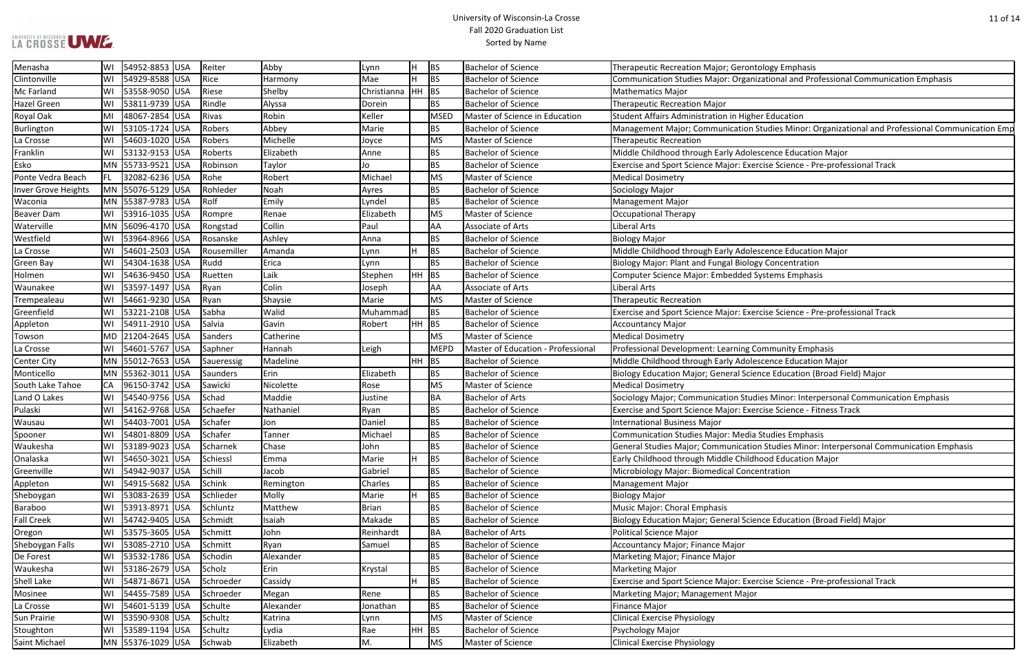### University of Wisconsin-La Crosse Fall 2020 Graduation List Sorted by Name

zational and Professional Communication Emphasis

**Studies Minor: Organizational and Professional Communication Emp** 

rcise Science - Pre-professional Track

rcise Science - Pre-professional Track

nce Education (Broad Field) Major

lies Minor: Interpersonal Communication Emphasis rcise Science - Fitness Track

n Studies Minor: Interpersonal Communication Emphasis

nce Education (Broad Field) Major

rcise Science - Pre-professional Track

| Menasha             | WI | 54952-8853 USA    | Reiter     |             | Abby      | Lynn         | H       | <b>BS</b> | <b>Bachelor of Science</b>         | Therapeutic Recreation Major; Gerontology Emphasis              |
|---------------------|----|-------------------|------------|-------------|-----------|--------------|---------|-----------|------------------------------------|-----------------------------------------------------------------|
| Clintonville        | WI | 54929-8588 USA    | Rice       |             | Harmony   | Mae          | Н.      | BS        | <b>Bachelor of Science</b>         | Communication Studies Major: Organizational and Professiona     |
| Mc Farland          | WI | 53558-9050 USA    | Riese      |             | Shelby    | Christianna  | HH BS   |           | <b>Bachelor of Science</b>         | <b>Mathematics Major</b>                                        |
| <b>Hazel Green</b>  | WI | 53811-9739 USA    | Rindle     |             | Alyssa    | Dorein       |         | <b>BS</b> | <b>Bachelor of Science</b>         | <b>Therapeutic Recreation Major</b>                             |
| Royal Oak           | MI | 48067-2854 USA    | Rivas      |             | Robin     | Keller       |         | MSED      | Master of Science in Education     | Student Affairs Administration in Higher Education              |
| Burlington          | WI | 53105-1724<br>USA | Robers     |             | Abbey     | Marie        |         | <b>BS</b> | <b>Bachelor of Science</b>         | Management Major; Communication Studies Minor: Organiza         |
| La Crosse           | WI | 54603-1020 USA    | Robers     |             | Michelle  | Joyce        |         | MS        | Master of Science                  | <b>Therapeutic Recreation</b>                                   |
| Franklin            | WI | 53132-9153 USA    | Roberts    |             | Elizabeth | Anne         |         | <b>BS</b> | <b>Bachelor of Science</b>         | Middle Childhood through Early Adolescence Education Major      |
| Esko                |    | MN 55733-9521 USA | Robinson   |             | Taylor    | Jo           |         | BS        | <b>Bachelor of Science</b>         | Exercise and Sport Science Major: Exercise Science - Pre-profe  |
| Ponte Vedra Beach   | FL | 32082-6236 USA    | Rohe       |             | Robert    | Michael      |         | MS        | Master of Science                  | <b>Medical Dosimetry</b>                                        |
| Inver Grove Heights |    | MN 55076-5129 USA | Rohleder   |             | Noah      | Ayres        |         | BS        | <b>Bachelor of Science</b>         | Sociology Major                                                 |
| Waconia             |    | MN 55387-9783 USA | Rolf       |             | Emily     | Lyndel       |         | BS        | <b>Bachelor of Science</b>         | <b>Management Major</b>                                         |
| <b>Beaver Dam</b>   | WI | 53916-1035 USA    | Rompre     |             | Renae     | Elizabeth    |         | MS        | Master of Science                  | <b>Occupational Therapy</b>                                     |
| Waterville          |    | MN 56096-4170 USA | Rongstad   |             | Collin    | Paul         |         | <b>AA</b> | Associate of Arts                  | <b>Liberal Arts</b>                                             |
| Westfield           | WI | 53964-8966 USA    | Rosanske   |             | Ashley    | Anna         |         | <b>BS</b> | <b>Bachelor of Science</b>         | <b>Biology Major</b>                                            |
| La Crosse           | WI | 54601-2503 USA    |            | Rousemiller | Amanda    | Lynn         | H       | BS        | <b>Bachelor of Science</b>         | Middle Childhood through Early Adolescence Education Major      |
| <b>Green Bay</b>    | WI | 54304-1638 USA    | Rudd       |             | Erica     | Lynn         |         | <b>BS</b> | <b>Bachelor of Science</b>         | Biology Major: Plant and Fungal Biology Concentration           |
| Holmen              | WI | 54636-9450 USA    | Ruetten    |             | Laik      | Stephen      | $HH$ BS |           | <b>Bachelor of Science</b>         | Computer Science Major: Embedded Systems Emphasis               |
| Waunakee            | WI | 53597-1497 USA    | Ryan       |             | Colin     | Joseph       |         | AA        | Associate of Arts                  | Liberal Arts                                                    |
| Trempealeau         | WI | 54661-9230 USA    | Ryan       |             | Shaysie   | Marie        |         | MS        | Master of Science                  | <b>Therapeutic Recreation</b>                                   |
| Greenfield          | WI | 53221-2108 USA    | Sabha      |             | Walid     | Muhammad     |         | <b>BS</b> | <b>Bachelor of Science</b>         | Exercise and Sport Science Major: Exercise Science - Pre-profe  |
| Appleton            | WI | 54911-2910 USA    | Salvia     |             | Gavin     | Robert       | HH BS   |           | <b>Bachelor of Science</b>         | <b>Accountancy Major</b>                                        |
| Towson              |    | MD 21204-2645 USA | Sanders    |             | Catherine |              |         | MS        | Master of Science                  | <b>Medical Dosimetry</b>                                        |
| La Crosse           | WI | 54601-5767 USA    | Saphner    |             | Hannah    | Leigh        |         | MEPD      | Master of Education - Professional | Professional Development: Learning Community Emphasis           |
| <b>Center City</b>  |    | MN 55012-7653 USA | Saueressig |             | Madeline  |              | $HH$ BS |           | <b>Bachelor of Science</b>         | Middle Childhood through Early Adolescence Education Major      |
| Monticello          |    | MN 55362-3011 USA | Saunders   |             | Erin      | Elizabeth    |         | <b>BS</b> | <b>Bachelor of Science</b>         | Biology Education Major; General Science Education (Broad Fi    |
| South Lake Tahoe    | CA | 96150-3742 USA    | Sawicki    |             | Nicolette | Rose         |         | MS        | Master of Science                  | <b>Medical Dosimetry</b>                                        |
| Land O Lakes        | WI | 54540-9756 USA    | Schad      |             | Maddie    | Justine      |         | <b>BA</b> | <b>Bachelor of Arts</b>            | Sociology Major; Communication Studies Minor: Interpersona      |
| Pulaski             | WI | 54162-9768 USA    | Schaefer   |             | Nathaniel | Ryan         |         | BS        | <b>Bachelor of Science</b>         | Exercise and Sport Science Major: Exercise Science - Fitness Tr |
| Wausau              | WI | 54403-7001 USA    | Schafer    |             | Jon       | Daniel       |         | BS        | <b>Bachelor of Science</b>         | <b>International Business Major</b>                             |
| Spooner             | WI | 54801-8809 USA    | Schafer    |             | Tanner    | Michael      |         | <b>BS</b> | <b>Bachelor of Science</b>         | <b>Communication Studies Major: Media Studies Emphasis</b>      |
| Waukesha            | WI | 53189-9023 USA    | Scharnek   |             | Chase     | John         |         | <b>BS</b> | <b>Bachelor of Science</b>         | General Studies Major; Communication Studies Minor: Interpe     |
| Onalaska            | WI | 54650-3021 USA    | Schiessl   |             | Emma      | Marie        | H.      | <b>BS</b> | <b>Bachelor of Science</b>         | Early Childhood through Middle Childhood Education Major        |
| Greenville          | WI | 54942-9037 USA    | Schill     |             | Jacob     | Gabriel      |         | <b>BS</b> | <b>Bachelor of Science</b>         | Microbiology Major: Biomedical Concentration                    |
| Appleton            | WI | 54915-5682 USA    | Schink     |             | Remington | Charles      |         | <b>BS</b> | <b>Bachelor of Science</b>         | <b>Management Major</b>                                         |
| Sheboygan           | WI | 53083-2639 USA    | Schlieder  |             | Molly     | Marie        | H       | <b>BS</b> | <b>Bachelor of Science</b>         | <b>Biology Major</b>                                            |
| Baraboo             | WI | 53913-8971 USA    | Schluntz   |             | Matthew   | <b>Brian</b> |         | BS        | <b>Bachelor of Science</b>         | Music Major: Choral Emphasis                                    |
| <b>Fall Creek</b>   | WI | 54742-9405 USA    | Schmidt    |             | Isaiah    | Makade       |         | BS        | <b>Bachelor of Science</b>         | Biology Education Major; General Science Education (Broad Fi    |
| Oregon              | WI | 53575-3605 USA    | Schmitt    |             | John      | Reinhardt    |         | BA        | <b>Bachelor of Arts</b>            | <b>Political Science Major</b>                                  |
| Sheboygan Falls     | WI | 53085-2710 USA    | Schmitt    |             | Ryan      | Samuel       |         | <b>BS</b> | <b>Bachelor of Science</b>         | Accountancy Major; Finance Major                                |
| De Forest           | WI | 53532-1786 USA    | Schodin    |             | Alexander |              |         | BS        | <b>Bachelor of Science</b>         | Marketing Major; Finance Major                                  |
| Waukesha            | WI | 53186-2679 USA    | Scholz     |             | Erin      | Krystal      |         | <b>BS</b> | <b>Bachelor of Science</b>         | <b>Marketing Major</b>                                          |
| Shell Lake          | WI | 54871-8671 USA    | Schroeder  |             | Cassidy   |              | H       | BS        | <b>Bachelor of Science</b>         | Exercise and Sport Science Major: Exercise Science - Pre-profe  |
| Mosinee             | WI | 54455-7589 USA    | Schroeder  |             | Megan     | Rene         |         | <b>BS</b> | <b>Bachelor of Science</b>         | Marketing Major; Management Major                               |
| La Crosse           | WI | 54601-5139 USA    | Schulte    |             | Alexander | Jonathan     |         | <b>BS</b> | <b>Bachelor of Science</b>         | Finance Major                                                   |
| Sun Prairie         | WI | 53590-9308 USA    | Schultz    |             | Katrina   | Lynn         |         | MS        | Master of Science                  | <b>Clinical Exercise Physiology</b>                             |
| Stoughton           | WI | 53589-1194 USA    | Schultz    |             | Lydia     | Rae          | $HH$ BS |           | <b>Bachelor of Science</b>         | Psychology Major                                                |
| Saint Michael       |    | MN 55376-1029 USA | Schwab     |             | Elizabeth | М.           |         | MS        | Master of Science                  | <b>Clinical Exercise Physiology</b>                             |
|                     |    |                   |            |             |           |              |         |           |                                    |                                                                 |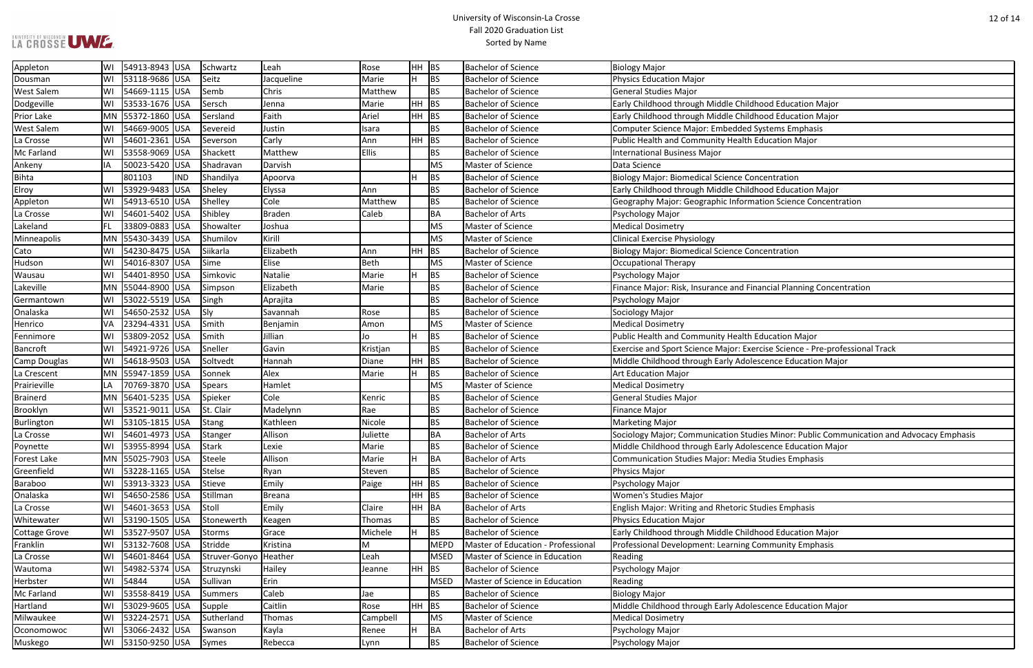### University of Wisconsin-La Crosse Fall 2020 Graduation List Sorted by Name

ancial Planning Concentration

-cise Science - Pre-professional Track<br>scence Education Major

ies Minor: Public Communication and Advocacy Emphasis **Postance Education Major** 

| Appleton             | WI        | 54913-8943   USA    |            | Schwartz              | Leah          | Rose         | HH BS   |             | <b>Bachelor of Science</b>         | <b>Biology Major</b>                                               |
|----------------------|-----------|---------------------|------------|-----------------------|---------------|--------------|---------|-------------|------------------------------------|--------------------------------------------------------------------|
| Dousman              | WI        | 53118-9686 USA      |            | Seitz                 | Jacqueline    | Marie        | H       | <b>BS</b>   | <b>Bachelor of Science</b>         | Physics Education Major                                            |
| <b>West Salem</b>    | WI        | 54669-1115 USA      |            | Semb                  | Chris         | Matthew      |         | <b>BS</b>   | <b>Bachelor of Science</b>         | General Studies Major                                              |
| Dodgeville           | WI        | 53533-1676 USA      |            | Sersch                | Jenna         | Marie        | HH      | BS          | <b>Bachelor of Science</b>         | Early Childhood through Middle Childhood Education Major           |
| Prior Lake           |           | MN  55372-1860  USA |            | Sersland              | Faith         | Ariel        | $HH$ BS |             | <b>Bachelor of Science</b>         | Early Childhood through Middle Childhood Education Major           |
| <b>West Salem</b>    | WI        | 54669-9005 USA      |            | Severeid              | Justin        | Isara        |         | <b>BS</b>   | <b>Bachelor of Science</b>         | Computer Science Major: Embedded Systems Emphasis                  |
| La Crosse            | WI        | 54601-2361 USA      |            | Severson              | Carly         | Ann          | HH      | BS          | <b>Bachelor of Science</b>         | Public Health and Community Health Education Major                 |
| Mc Farland           | WI        | 53558-9069 USA      |            | Shackett              | Matthew       | <b>Ellis</b> |         | <b>BS</b>   | <b>Bachelor of Science</b>         | <b>International Business Major</b>                                |
| Ankeny               | IA        | 50023-5420 USA      |            | Shadravan             | Darvish       |              |         | <b>MS</b>   | Master of Science                  | Data Science                                                       |
| <b>Bihta</b>         |           | 801103              | <b>IND</b> | Shandilya             | Apoorva       |              | H       | <b>BS</b>   | <b>Bachelor of Science</b>         | <b>Biology Major: Biomedical Science Concentration</b>             |
| Elroy                | WI        | 53929-9483 USA      |            | Sheley                | Elyssa        | Ann          |         | <b>BS</b>   | <b>Bachelor of Science</b>         | Early Childhood through Middle Childhood Education Major           |
| Appleton             | WI        | 54913-6510 USA      |            | Shelley               | Cole          | Matthew      |         | <b>BS</b>   | <b>Bachelor of Science</b>         | Geography Major: Geographic Information Science Concentratior      |
| La Crosse            | WI        | 54601-5402 USA      |            | Shibley               | <b>Braden</b> | Caleb        |         | <b>BA</b>   | <b>Bachelor of Arts</b>            | Psychology Major                                                   |
| Lakeland             | <b>FL</b> | 33809-0883 USA      |            | Showalter             | Joshua        |              |         | <b>MS</b>   | Master of Science                  | <b>Medical Dosimetry</b>                                           |
| Minneapolis          |           | MN 55430-3439 USA   |            | Shumilov              | Kirill        |              |         | <b>MS</b>   | Master of Science                  | <b>Clinical Exercise Physiology</b>                                |
| Cato                 | WI        | 54230-8475 USA      |            | Siikarla              | Elizabeth     | Ann          | HH      | BS          | <b>Bachelor of Science</b>         | <b>Biology Major: Biomedical Science Concentration</b>             |
| Hudson               | WI        | 54016-8307 USA      |            | Sime                  | Elise         | <b>Beth</b>  |         | <b>MS</b>   | Master of Science                  | Occupational Therapy                                               |
| Wausau               | WI        | 54401-8950 USA      |            | Simkovic              | Natalie       | Marie        | lH.     | <b>BS</b>   | <b>Bachelor of Science</b>         | Psychology Major                                                   |
| Lakeville            |           | MN 55044-8900 USA   |            | Simpson               | Elizabeth     | Marie        |         | <b>BS</b>   | <b>Bachelor of Science</b>         | Finance Major: Risk, Insurance and Financial Planning Concentrati  |
| Germantown           | WI        | 53022-5519 USA      |            | Singh                 | Aprajita      |              |         | <b>BS</b>   | <b>Bachelor of Science</b>         | Psychology Major                                                   |
| Onalaska             | WI        | 54650-2532 USA      |            | Sly                   | Savannah      | Rose         |         | <b>BS</b>   | <b>Bachelor of Science</b>         | Sociology Major                                                    |
| Henrico              | VA        | 23294-4331 USA      |            | Smith                 | Benjamin      | Amon         |         | <b>MS</b>   | Master of Science                  | <b>Medical Dosimetry</b>                                           |
| Fennimore            | WI        | 53809-2052 USA      |            | Smith                 | Jillian       | Jo           | Iн.     | <b>BS</b>   | Bachelor of Science                | Public Health and Community Health Education Major                 |
| <b>Bancroft</b>      | WI        | 54921-9726 USA      |            | Sneller               | Gavin         | Kristjan     |         | <b>BS</b>   | <b>Bachelor of Science</b>         | Exercise and Sport Science Major: Exercise Science - Pre-professic |
| <b>Camp Douglas</b>  | WI        | 54618-9503 USA      |            | Soltvedt              | Hannah        | Diane        | HH      | BS          | <b>Bachelor of Science</b>         | Middle Childhood through Early Adolescence Education Major         |
| La Crescent          |           | MN 55947-1859 USA   |            | Sonnek                | Alex          | Marie        | H       | <b>BS</b>   | <b>Bachelor of Science</b>         | <b>Art Education Major</b>                                         |
| Prairieville         | LA        | 70769-3870 USA      |            | <b>Spears</b>         | Hamlet        |              |         | <b>MS</b>   | Master of Science                  | <b>Medical Dosimetry</b>                                           |
| <b>Brainerd</b>      | MN        | 56401-5235 USA      |            | Spieker               | Cole          | Kenric       |         | <b>BS</b>   | <b>Bachelor of Science</b>         | General Studies Major                                              |
| Brooklyn             | WI        | 53521-9011 USA      |            | St. Clair             | Madelynn      | Rae          |         | <b>BS</b>   | <b>Bachelor of Science</b>         | Finance Major                                                      |
| Burlington           | WI        | 53105-1815 USA      |            | <b>Stang</b>          | Kathleen      | Nicole       |         | <b>BS</b>   | <b>Bachelor of Science</b>         | <b>Marketing Major</b>                                             |
| La Crosse            | WI        | 54601-4973 USA      |            | Stanger               | Allison       | Juliette     |         | <b>BA</b>   | Bachelor of Arts                   | Sociology Major; Communication Studies Minor: Public Communi       |
| Poynette             | WI        | 53955-8994 USA      |            | <b>Stark</b>          | Lexie         | Marie        |         | <b>BS</b>   | <b>Bachelor of Science</b>         | Middle Childhood through Early Adolescence Education Major         |
| <b>Forest Lake</b>   |           | MN 55025-7903 USA   |            | Steele                | Allison       | Marie        | Н       | BA          | <b>Bachelor of Arts</b>            | Communication Studies Major: Media Studies Emphasis                |
| Greenfield           | WI        | 53228-1165 USA      |            | Stelse                | Ryan          | Steven       |         | <b>BS</b>   | Bachelor of Science                | Physics Major                                                      |
| Baraboo              | WI        | 53913-3323 USA      |            | Stieve                | Emily         | Paige        | HH      | BS          | <b>Bachelor of Science</b>         | Psychology Major                                                   |
| Onalaska             | WI        | 54650-2586 USA      |            | Stillman              | <b>Breana</b> |              | HH      | BS          | <b>Bachelor of Science</b>         | <b>Women's Studies Major</b>                                       |
| La Crosse            | WI        | 54601-3653 USA      |            | Stoll                 | Emily         | Claire       | HH BA   |             | <b>Bachelor of Arts</b>            | <b>English Major: Writing and Rhetoric Studies Emphasis</b>        |
| Whitewater           | WI        | 53190-1505 USA      |            | Stonewerth            | Keagen        | Thomas       |         | <b>BS</b>   | <b>Bachelor of Science</b>         | <b>Physics Education Major</b>                                     |
| <b>Cottage Grove</b> | WI        | 53527-9507 USA      |            | <b>Storms</b>         | Grace         | Michele      | H       | <b>BS</b>   | <b>Bachelor of Science</b>         | Early Childhood through Middle Childhood Education Major           |
| Franklin             | WI        | 53132-7608 USA      |            | Stridde               | Kristina      | M            |         | <b>MEPD</b> | Master of Education - Professional | Professional Development: Learning Community Emphasis              |
| La Crosse            | WI        | 54601-8464 USA      |            | Struver-Gonyo Heather |               | Leah         |         | <b>MSED</b> | Master of Science in Education     | Reading                                                            |
| Wautoma              | WI        | 54982-5374 USA      |            | Struzynski            | Hailey        | Jeanne       | HH      | BS          | <b>Bachelor of Science</b>         | Psychology Major                                                   |
| Herbster             | WI        | 54844               | <b>USA</b> | Sullivan              | Erin          |              |         | <b>MSED</b> | Master of Science in Education     | Reading                                                            |
| Mc Farland           | WI        | 53558-8419 USA      |            | Summers               | Caleb         | Jae          |         | <b>BS</b>   | <b>Bachelor of Science</b>         | <b>Biology Major</b>                                               |
| Hartland             | WI        | 53029-9605 USA      |            | Supple                | Caitlin       | Rose         | HH      | BS          | <b>Bachelor of Science</b>         | Middle Childhood through Early Adolescence Education Major         |
| Milwaukee            | WI        | 53224-2571 USA      |            | Sutherland            | Thomas        | Campbell     |         | <b>MS</b>   | Master of Science                  | <b>Medical Dosimetry</b>                                           |
| Oconomowoc           | WI        | 53066-2432 USA      |            | Swanson               | Kayla         | Renee        | H       | <b>BA</b>   | <b>Bachelor of Arts</b>            | Psychology Major                                                   |
| Muskego              | WI        | 53150-9250 USA      |            | Symes                 | Rebecca       | Lynn         |         | <b>BS</b>   | <b>Bachelor of Science</b>         | Psychology Major                                                   |
|                      |           |                     |            |                       |               |              |         |             |                                    |                                                                    |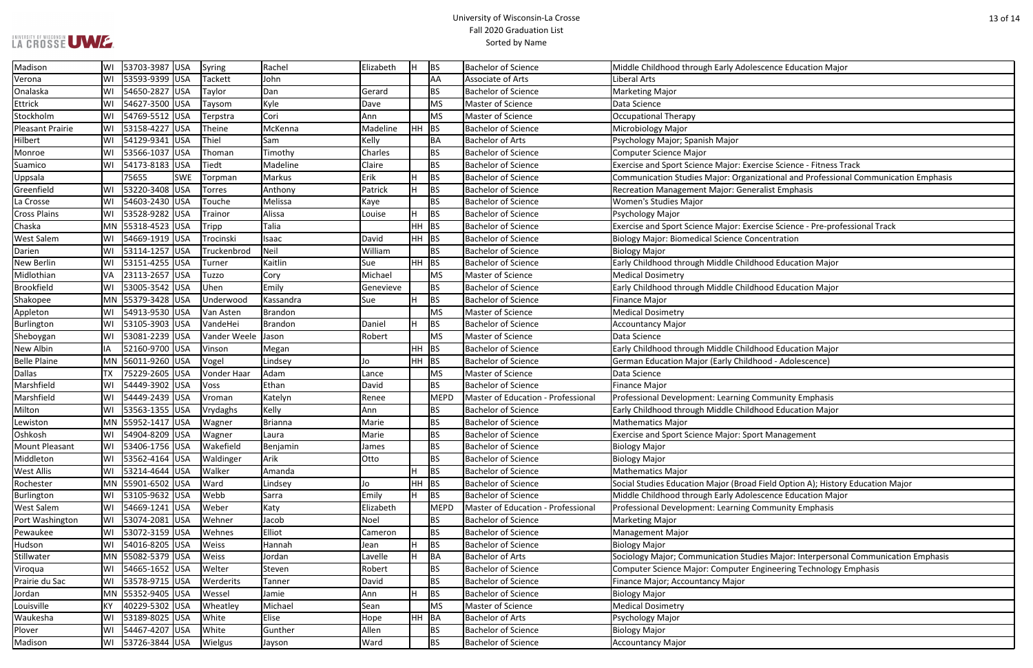## LA CROSSE UWE

### University of Wisconsin-La Crosse Fall 2020 Graduation List Sorted by Name

| scence Education Major                                             |
|--------------------------------------------------------------------|
|                                                                    |
|                                                                    |
|                                                                    |
|                                                                    |
|                                                                    |
|                                                                    |
|                                                                    |
| cise Science - Fitness Track                                       |
| zational and Professional Communication Emphasis                   |
| alist Emphasis                                                     |
|                                                                    |
|                                                                    |
| cise Science - Pre-professional Track                              |
| centration                                                         |
|                                                                    |
| ood Education Major                                                |
|                                                                    |
| ood Education Major                                                |
|                                                                    |
|                                                                    |
|                                                                    |
|                                                                    |
| ood Education Major                                                |
| ood - Adolescence)                                                 |
|                                                                    |
|                                                                    |
| <b>Ommunity Emphasis</b>                                           |
| ood Education Major                                                |
|                                                                    |
| t Management                                                       |
|                                                                    |
|                                                                    |
|                                                                    |
| Field Option A); History Education Major<br>scence Education Major |
|                                                                    |
| <b>Dmmunity Emphasis</b>                                           |
|                                                                    |
|                                                                    |
|                                                                    |
| ies Major: Interpersonal Communication Emphasis                    |
| ngineering Technology Emphasis                                     |
|                                                                    |
|                                                                    |
|                                                                    |
|                                                                    |
|                                                                    |

| Madison             | WI        | 53703-3987 USA        |            | Syring         | Rachel    | Elizabeth |     | BS          | <b>Bachelor of Science</b>         | Middle Childhood through Early Adolescence Education Major                          |
|---------------------|-----------|-----------------------|------------|----------------|-----------|-----------|-----|-------------|------------------------------------|-------------------------------------------------------------------------------------|
| Verona              | WI        | 53593-9399 USA        |            | <b>Tackett</b> | John      |           |     | AA          | Associate of Arts                  | Liberal Arts                                                                        |
| Onalaska            |           | 54650-2827 USA        |            | Taylor         | Dan       | Gerard    |     | <b>BS</b>   | <b>Bachelor of Science</b>         | <b>Marketing Major</b>                                                              |
| <b>Ettrick</b>      | WI        | 54627-3500 USA        |            | Taysom         | Kyle      | Dave      |     | <b>MS</b>   | Master of Science                  | Data Science                                                                        |
| Stockholm           | lWI       | 54769-5512 USA        |            | Terpstra       | Cori      | Ann       |     | <b>MS</b>   | Master of Science                  | <b>Occupational Therapy</b>                                                         |
| Pleasant Prairie    |           | 53158-4227 USA        |            | Theine         | McKenna   | Madeline  |     | $HH$ BS     | <b>Bachelor of Science</b>         | Microbiology Major                                                                  |
| Hilbert             | lWI       | 54129-9341 USA        |            | Thiel          | Sam       | Kelly     |     | <b>BA</b>   | <b>Bachelor of Arts</b>            | Psychology Major; Spanish Major                                                     |
| Monroe              | WI        | 53566-1037 USA        |            | Thoman         | Timothy   | Charles   |     | BS          | <b>Bachelor of Science</b>         | <b>Computer Science Major</b>                                                       |
| Suamico             | WI        | 54173-8183 USA        |            | Tiedt          | Madeline  | Claire    |     | <b>BS</b>   | <b>Bachelor of Science</b>         | Exercise and Sport Science Major: Exercise Science - Fitness Track                  |
| Uppsala             |           | 75655                 | <b>SWE</b> | Torpman        | Markus    | Erik      |     | <b>BS</b>   | <b>Bachelor of Science</b>         | Communication Studies Major: Organizational and Professional Communication Emphasis |
| Greenfield          | WI        | 53220-3408 USA        |            | <b>Torres</b>  | Anthony   | Patrick   |     | <b>BS</b>   | <b>Bachelor of Science</b>         | Recreation Management Major: Generalist Emphasis                                    |
| La Crosse           | lWI       | 54603-2430 USA        |            | Touche         | Melissa   | Kaye      |     | <b>BS</b>   | <b>Bachelor of Science</b>         | <b>Women's Studies Major</b>                                                        |
| <b>Cross Plains</b> | WI        | 53528-9282 USA        |            | Trainor        | Alissa    | Louise    |     | <b>BS</b>   | <b>Bachelor of Science</b>         | Psychology Major                                                                    |
| Chaska              |           | MN  55318-4523  USA   |            | Tripp          | Talia     |           |     | $HH$ BS     | <b>Bachelor of Science</b>         | Exercise and Sport Science Major: Exercise Science - Pre-professional Track         |
| <b>West Salem</b>   |           | WI   54669-1919   USA |            | Trocinski      | Isaac     | David     |     | $HH$ BS     | <b>Bachelor of Science</b>         | <b>Biology Major: Biomedical Science Concentration</b>                              |
| Darien              | WI        | 53114-1257 USA        |            | Truckenbrod    | Neil      | William   |     | <b>BS</b>   | <b>Bachelor of Science</b>         | <b>Biology Major</b>                                                                |
| <b>New Berlin</b>   | WI        | 53151-4255 USA        |            | Turner         | Kaitlin   | Sue       |     | $HH$ BS     | <b>Bachelor of Science</b>         | Early Childhood through Middle Childhood Education Major                            |
| Midlothian          | <b>VA</b> | 23113-2657 USA        |            | Tuzzo          | Cory      | Michael   |     | <b>MS</b>   | Master of Science                  | <b>Medical Dosimetry</b>                                                            |
| <b>Brookfield</b>   | lWI       | 53005-3542 USA        |            | Uhen           | Emily     | Genevieve |     | <b>BS</b>   | <b>Bachelor of Science</b>         | Early Childhood through Middle Childhood Education Major                            |
| Shakopee            |           | MN  55379-3428  USA   |            | Underwood      | Kassandra | Sue       |     | <b>BS</b>   | <b>Bachelor of Science</b>         | <b>Finance Major</b>                                                                |
| Appleton            | WI        | 54913-9530 USA        |            | Van Asten      | Brandon   |           |     | <b>MS</b>   | Master of Science                  | <b>Medical Dosimetry</b>                                                            |
| Burlington          |           | 53105-3903 USA        |            | VandeHei       | Brandon   | Daniel    |     | <b>BS</b>   | <b>Bachelor of Science</b>         | <b>Accountancy Major</b>                                                            |
| Sheboygan           | WI        | 53081-2239 USA        |            | Vander Weele   | Jason     | Robert    |     | <b>MS</b>   | Master of Science                  | Data Science                                                                        |
| New Albin           | IA        | 52160-9700 USA        |            | Vinson         | Megan     |           | HH. | BS          | <b>Bachelor of Science</b>         | Early Childhood through Middle Childhood Education Major                            |
| <b>Belle Plaine</b> |           | MN 56011-9260 USA     |            | Vogel          | Lindsey   | Jo        |     | $HH$ BS     | <b>Bachelor of Science</b>         | German Education Major (Early Childhood - Adolescence)                              |
| <b>Dallas</b>       | <b>TX</b> | 75229-2605 USA        |            | Vonder Haar    | Adam      | Lance     |     | <b>MS</b>   | Master of Science                  | Data Science                                                                        |
| Marshfield          | WI        | 54449-3902 USA        |            | Voss           | Ethan     | David     |     | BS          | <b>Bachelor of Science</b>         | <b>Finance Major</b>                                                                |
| Marshfield          | WI        | 54449-2439 USA        |            | Vroman         | Katelyn   | Renee     |     | <b>MEPD</b> | Master of Education - Professional | Professional Development: Learning Community Emphasis                               |
| Milton              | lWI       | 53563-1355 USA        |            | Vrydaghs       | Kelly     | Ann       |     | <b>BS</b>   | <b>Bachelor of Science</b>         | Early Childhood through Middle Childhood Education Major                            |
| Lewiston            |           | MN 55952-1417 USA     |            | Wagner         | Brianna   | Marie     |     | BS          | <b>Bachelor of Science</b>         | <b>Mathematics Major</b>                                                            |
| Oshkosh             | WI        | 54904-8209 USA        |            | Wagner         | Laura     | Marie     |     | <b>BS</b>   | <b>Bachelor of Science</b>         | <b>Exercise and Sport Science Major: Sport Management</b>                           |
| Mount Pleasant      |           | 53406-1756 USA        |            | Wakefield      | Benjamin  | James     |     | <b>BS</b>   | <b>Bachelor of Science</b>         | <b>Biology Major</b>                                                                |
| Middleton           | lWI       | 53562-4164 USA        |            | Waldinger      | Arik      | Otto      |     | <b>BS</b>   | <b>Bachelor of Science</b>         | <b>Biology Major</b>                                                                |
| West Allis          | WI        | 53214-4644 USA        |            | Walker         | Amanda    |           |     | <b>BS</b>   | <b>Bachelor of Science</b>         | <b>Mathematics Major</b>                                                            |
| Rochester           |           | MN 55901-6502 USA     |            | Ward           | Lindsey   | Jo        | HH. | BS          | <b>Bachelor of Science</b>         | Social Studies Education Major (Broad Field Option A); History Education Major      |
| Burlington          | WI        | 53105-9632 USA        |            | Webb           | Sarra     | Emily     |     | <b>BS</b>   | <b>Bachelor of Science</b>         | Middle Childhood through Early Adolescence Education Major                          |
| <b>West Salem</b>   | lwi       | 54669-1241 USA        |            | Weber          | Katy      | Elizabeth |     | <b>MEPD</b> | Master of Education - Professional | Professional Development: Learning Community Emphasis                               |
| Port Washington     | lWI       | 53074-2081 USA        |            | Wehner         | Jacob     | Noel      |     | <b>BS</b>   | <b>Bachelor of Science</b>         | <b>Marketing Major</b>                                                              |
| Pewaukee            | WI        | 53072-3159 USA        |            | Wehnes         | Elliot    | Cameron   |     | BS          | <b>Bachelor of Science</b>         | Management Major                                                                    |
| Hudson              | WI        | 54016-8205 USA        |            | Weiss          | Hannah    | Jean      |     | <b>BS</b>   | <b>Bachelor of Science</b>         | <b>Biology Major</b>                                                                |
| Stillwater          |           | MN 55082-5379 USA     |            | <b>Weiss</b>   | Jordan    | Lavelle   |     | <b>BA</b>   | <b>Bachelor of Arts</b>            | Sociology Major; Communication Studies Major: Interpersonal Communication Emphasis  |
| Viroqua             | WI        | 54665-1652 USA        |            | Welter         | Steven    | Robert    |     | BS          | <b>Bachelor of Science</b>         | Computer Science Major: Computer Engineering Technology Emphasis                    |
| Prairie du Sac      |           | 53578-9715 USA        |            | Werderits      | Tanner    | David     |     | BS          | <b>Bachelor of Science</b>         | Finance Major; Accountancy Major                                                    |
| Jordan              |           | MN  55352-9405  USA   |            | Wessel         | Jamie     | Ann       |     | <b>BS</b>   | <b>Bachelor of Science</b>         | <b>Biology Major</b>                                                                |
| Louisville          | KY        | 40229-5302 USA        |            | Wheatley       | Michael   | Sean      |     | <b>MS</b>   | Master of Science                  | <b>Medical Dosimetry</b>                                                            |
| Waukesha            | WI        | 53189-8025 USA        |            | White          | Elise     | Hope      |     | HH BA       | <b>Bachelor of Arts</b>            | Psychology Major                                                                    |
| Plover              | WI        | 54467-4207 USA        |            | White          | Gunther   | Allen     |     | BS          | <b>Bachelor of Science</b>         | <b>Biology Major</b>                                                                |
| Madison             | WI        | 53726-3844 USA        |            | Wielgus        | Jayson    | Ward      |     | <b>BS</b>   | <b>Bachelor of Science</b>         | <b>Accountancy Major</b>                                                            |
|                     |           |                       |            |                |           |           |     |             |                                    |                                                                                     |